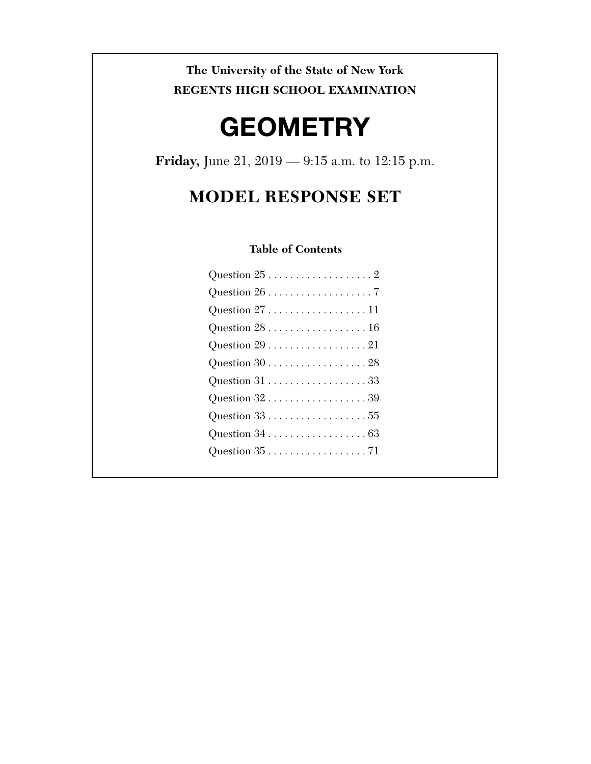**The University of the State of New York REGENTS HIGH SCHOOL EXAMINATION** 

# **GEOMETRY**

**Friday,** June 21, 2019 — 9:15 a.m. to 12:15 p.m.

# **MODEL RESPONSE SET**

### **Table of Contents**

| Question $27$ 11                                          |
|-----------------------------------------------------------|
| Question $28$ 16                                          |
| Question $29$ 21                                          |
| Question $30$ 28                                          |
|                                                           |
| Question $32\ldots\ldots\ldots\ldots\ldots\ldots\ldots39$ |
|                                                           |
|                                                           |
|                                                           |
|                                                           |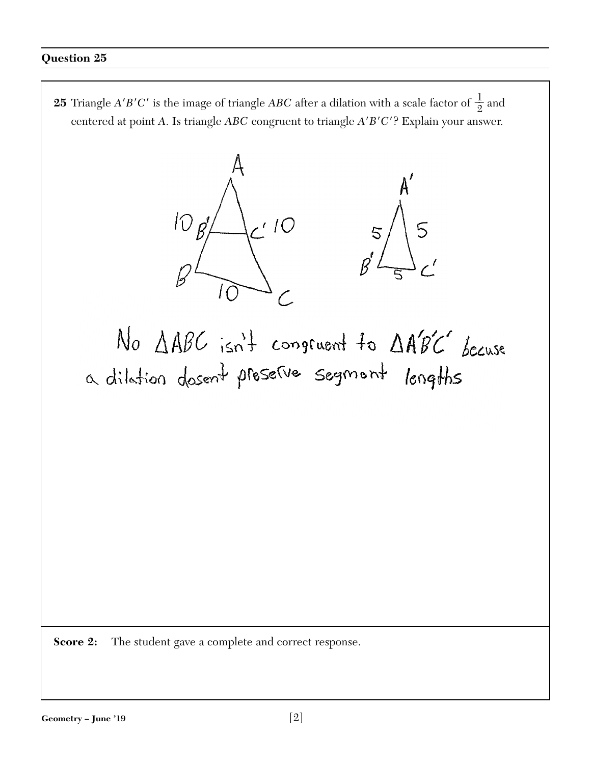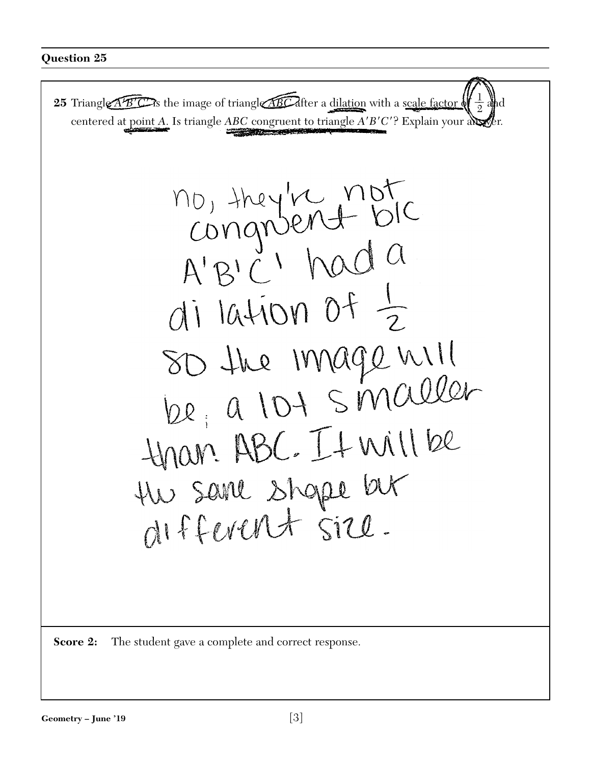

**Score 2:** The student gave a complete and correct response.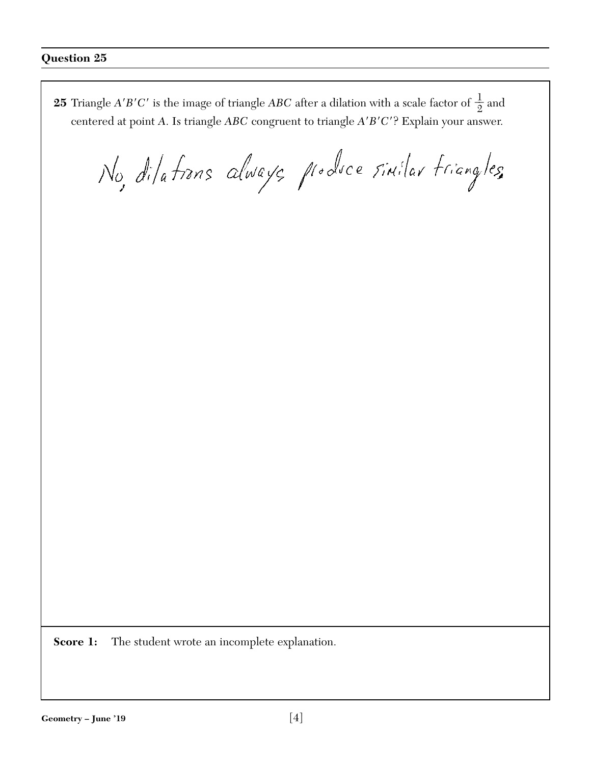**25** Triangle *A'B'C'* is the image of triangle *ABC* after a dilation with a scale factor of  $\frac{1}{2}$  and centered at point *A*. Is triangle *ABC* congruent to triangle *A*-*B*-*C*-? Explain your answer.

No, dilations always produce sinilar friangles

**Score 1:** The student wrote an incomplete explanation.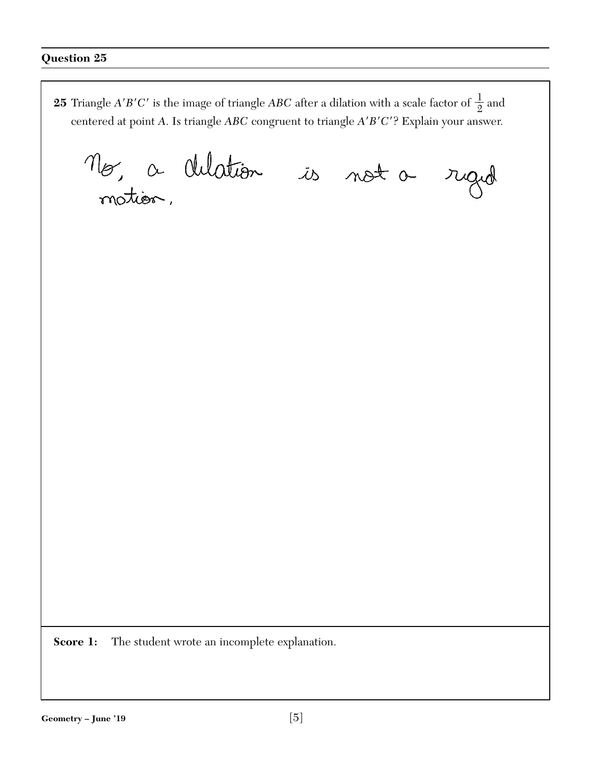**25** Triangle *A'B'C'* is the image of triangle *ABC* after a dilation with a scale factor of  $\frac{1}{2}$  and centered at point *A*. Is triangle *ABC* congruent to triangle *A*-*B*-*C*-? Explain your answer. Mo, a chlation is not a rigid

**Score 1:** The student wrote an incomplete explanation.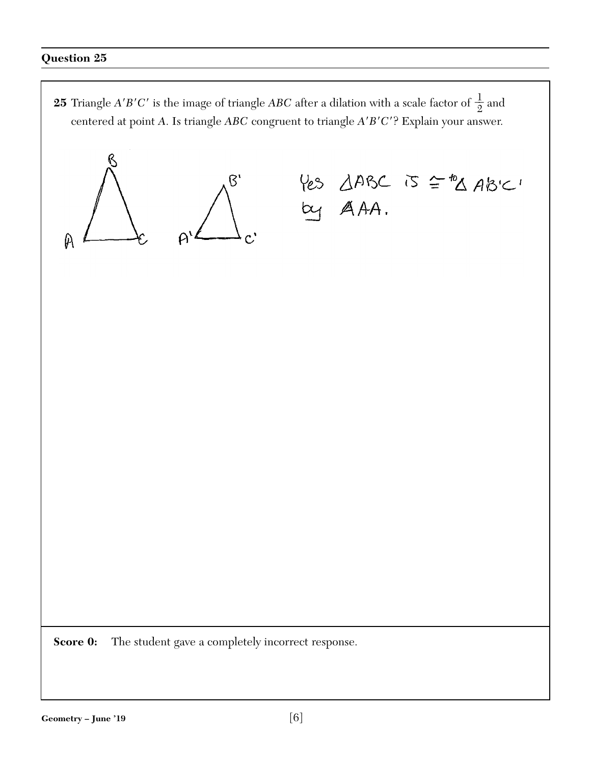**25** Triangle *A'B'C'* is the image of triangle *ABC* after a dilation with a scale factor of  $\frac{1}{2}$  and centered at point *A*. Is triangle *ABC* congruent to triangle *A*-*B*-*C*-? Explain your answer.

 $\overline{B}$  $\mathfrak{p}$ 

Yes AABC is = "A ABIC!<br>by AAA.

**Score 0:** The student gave a completely incorrect response.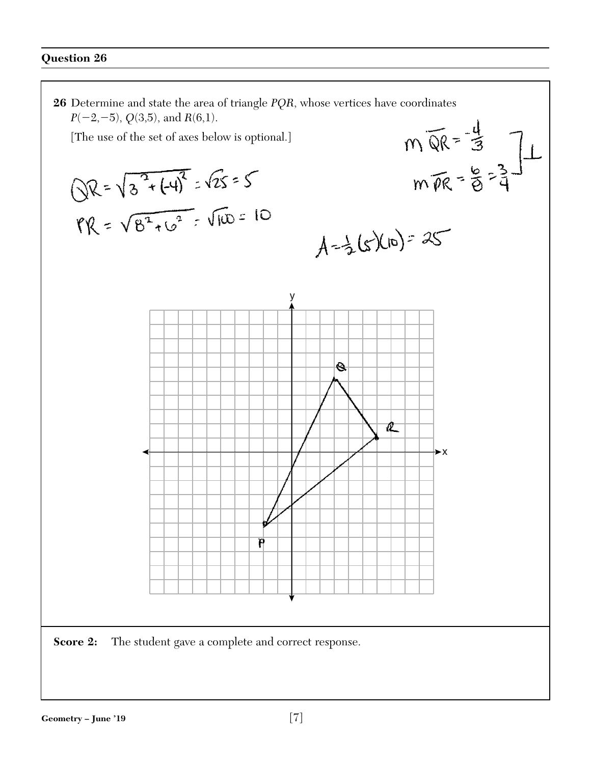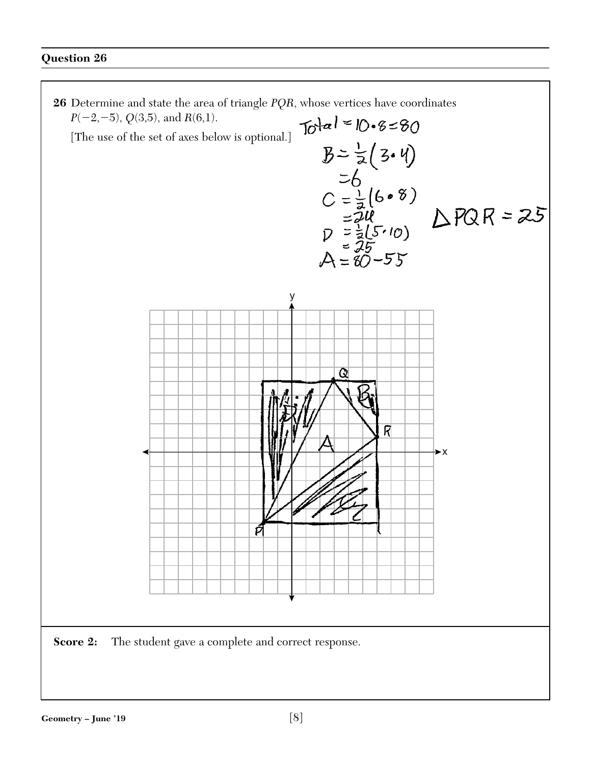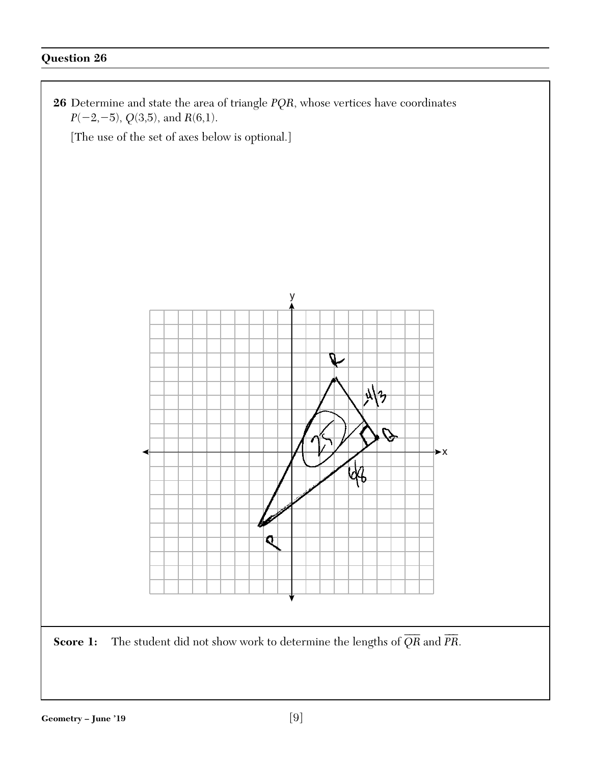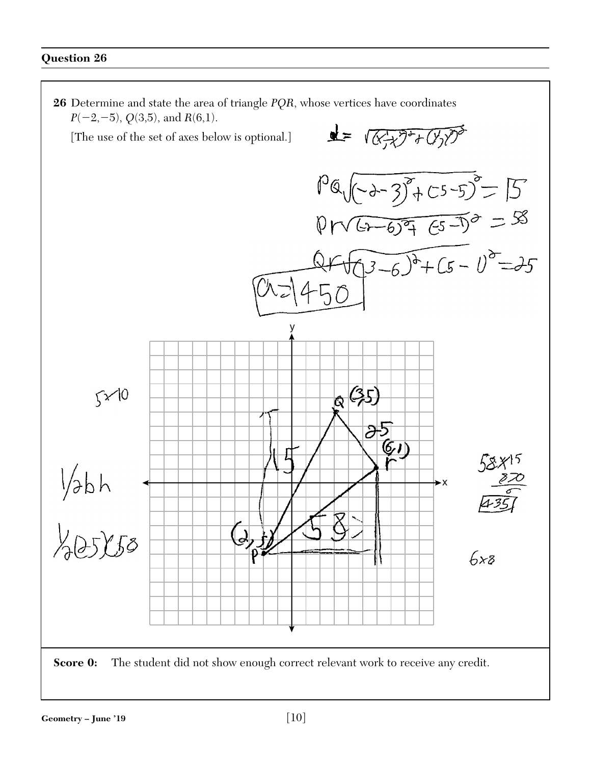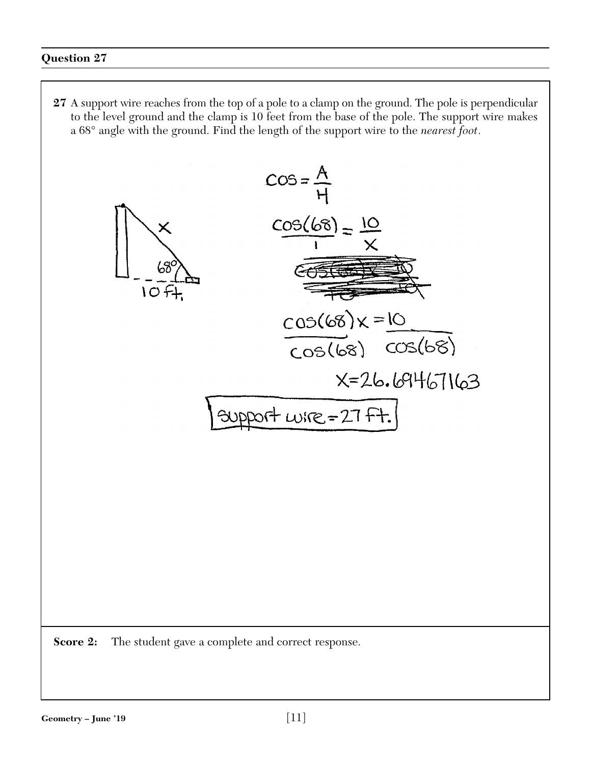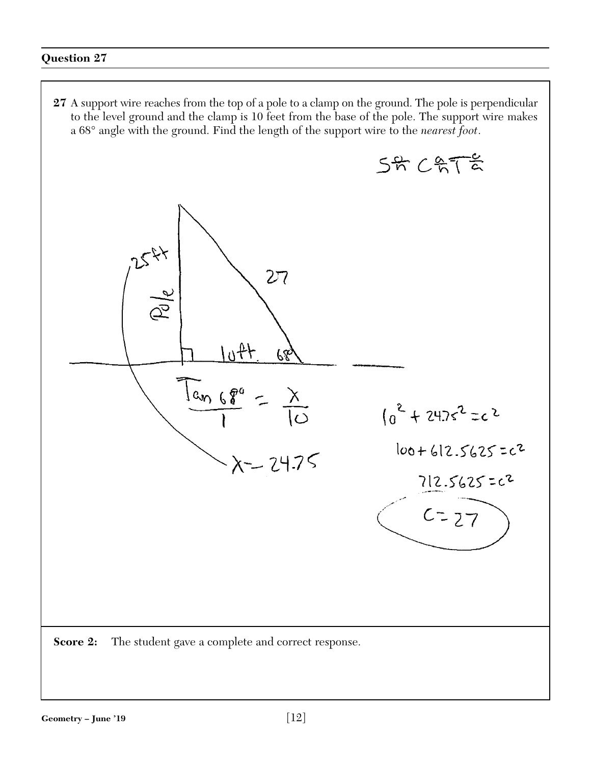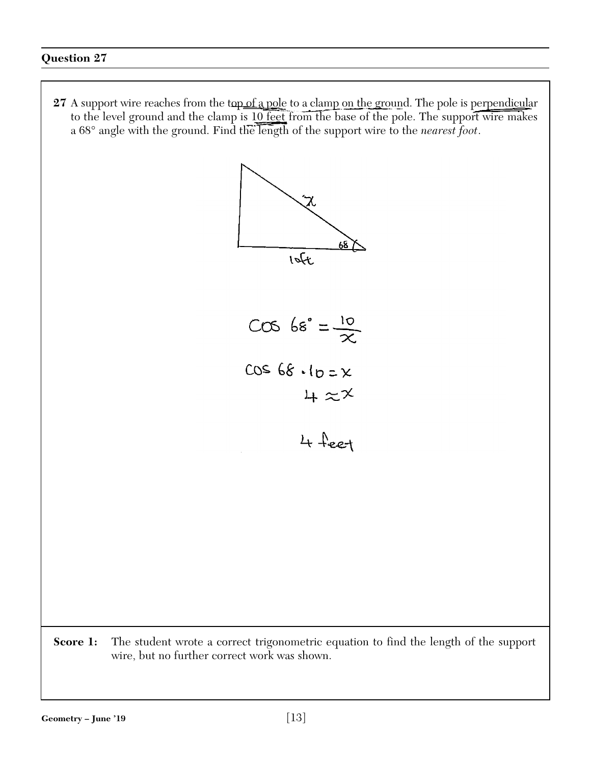27 A support wire reaches from the top of a pole to a clamp on the ground. The pole is perpendicular to the level ground and the clamp is 10 feet from the base of the pole. The support wire makes a 68° angle with the ground. Find the length of the support wire to the *nearest foot*.



**Score 1:** The student wrote a correct trigonometric equation to find the length of the support wire, but no further correct work was shown.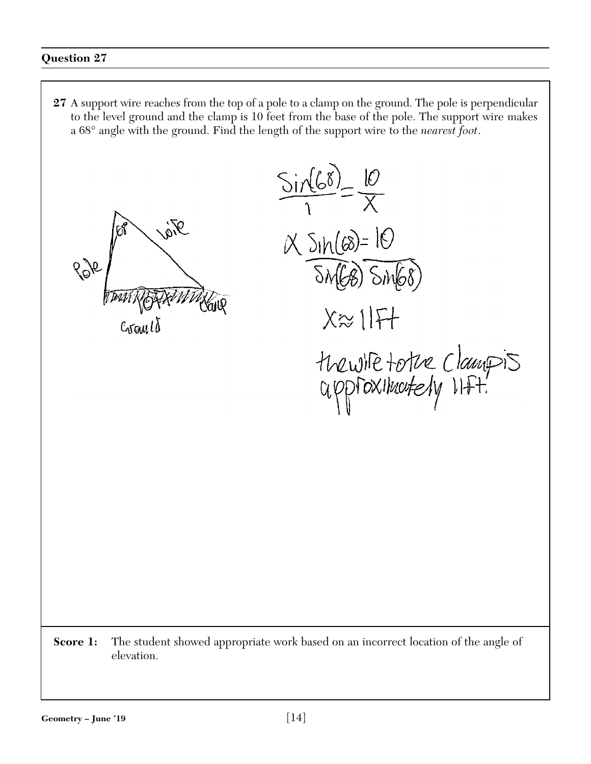**27** A support wire reaches from the top of a pole to a clamp on the ground. The pole is perpendicular to the level ground and the clamp is 10 feet from the base of the pole. The support wire makes a 68° angle with the ground. Find the length of the support wire to the *nearest foot*.  $\frac{\sin(68)}{x} = \frac{10}{x}$ 

Fig  $896$ 

 $C_1$ raul

 $X$  SIN (68) = 10 (68) SM68  $X \approx 1$ thewife tothe Clampis

**Score 1:** The student showed appropriate work based on an incorrect location of the angle of elevation.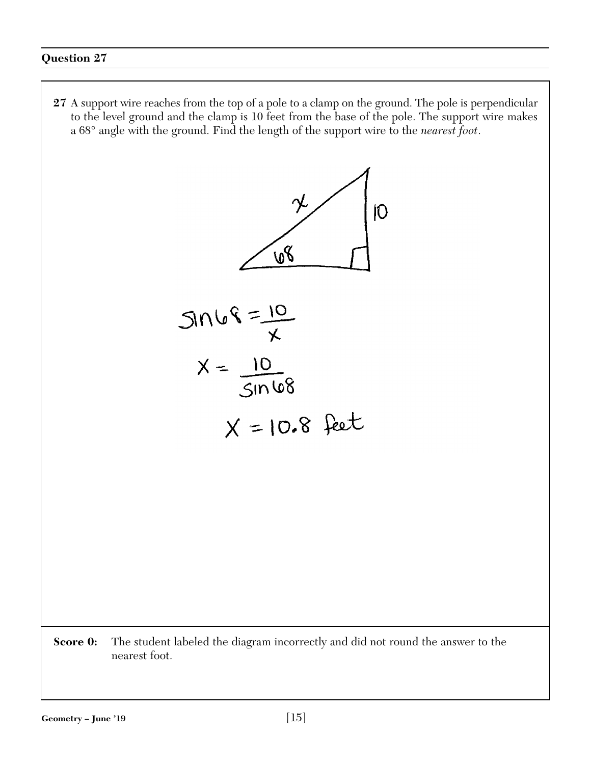**27** A support wire reaches from the top of a pole to a clamp on the ground. The pole is perpendicular to the level ground and the clamp is 10 feet from the base of the pole. The support wire makes a 68° angle with the ground. Find the length of the support wire to the *nearest foot*.

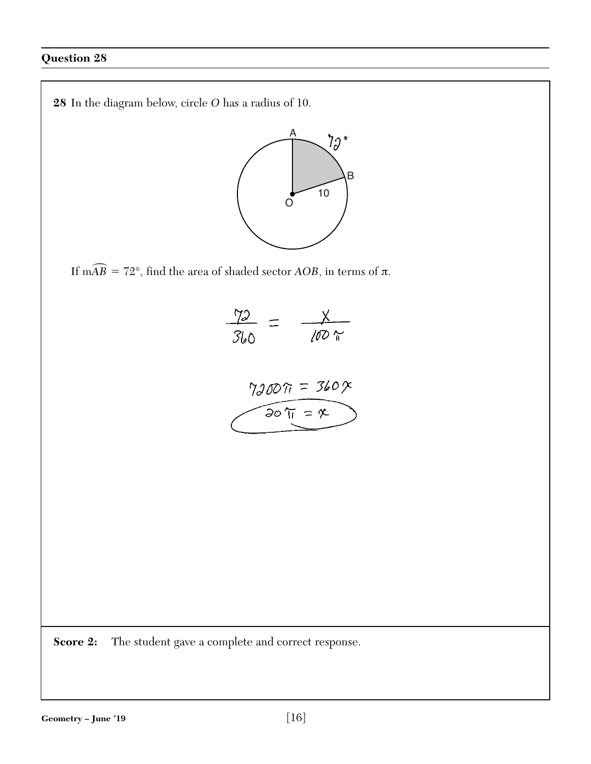

If m $\widehat{AB} = 72^\circ$ , find the area of shaded sector *AOB*, in terms of  $\pi$ .



**Score 2:** The student gave a complete and correct response.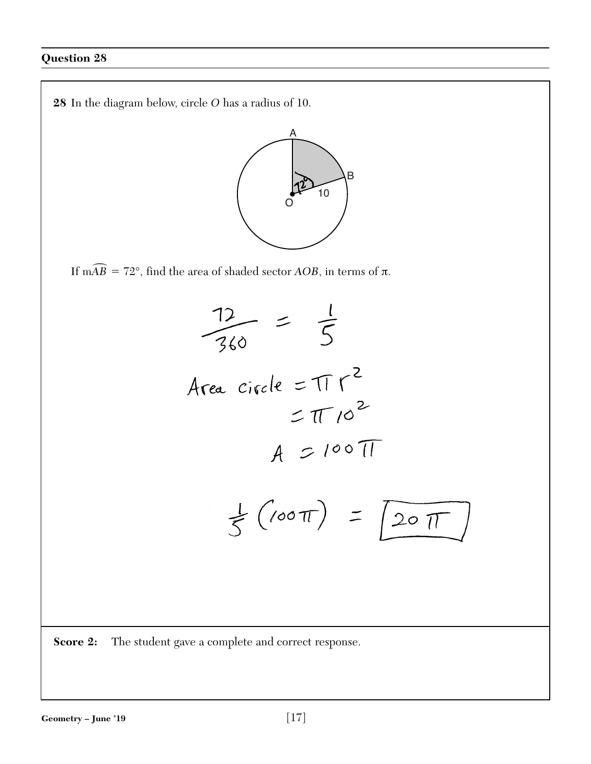**28** In the diagram below, circle *O* has a radius of 10. A B 10 $\rm\bar{\rm O}$ If m $\widehat{AB} = 72^\circ$ , find the area of shaded sector *AOB*, in terms of  $\pi$ .  $\frac{12}{360} = \frac{1}{5}$ Area circle =  $\pi r^2$  $=$   $\pi$  10<sup>2</sup>  $A = 100 \pi$  $\frac{1}{5}(\sqrt{100\pi}) = \sqrt{20\pi}$ **Score 2:** The student gave a complete and correct response.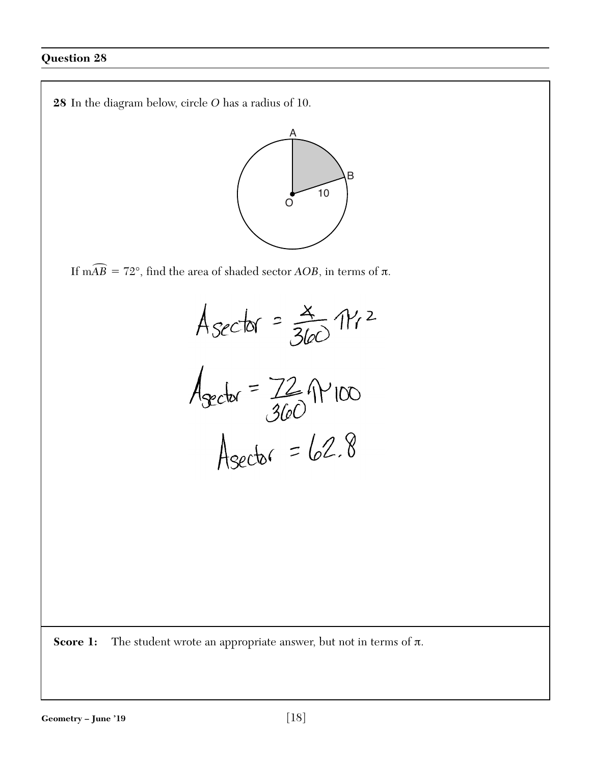

If m $\widehat{AB} = 72^\circ$ , find the area of shaded sector *AOB*, in terms of  $\pi$ .



**Score 1:** The student wrote an appropriate answer, but not in terms of π.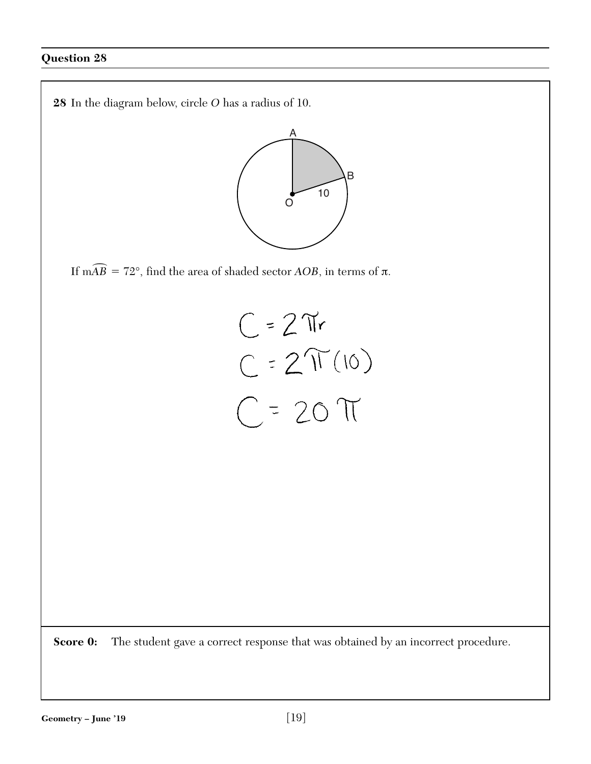

If m $\widehat{AB} = 72^\circ$ , find the area of shaded sector *AOB*, in terms of  $\pi$ .

$$
C = 2\pi r
$$
  

$$
C = 2\pi (10)
$$
  

$$
C = 20\pi
$$

**Score 0:** The student gave a correct response that was obtained by an incorrect procedure.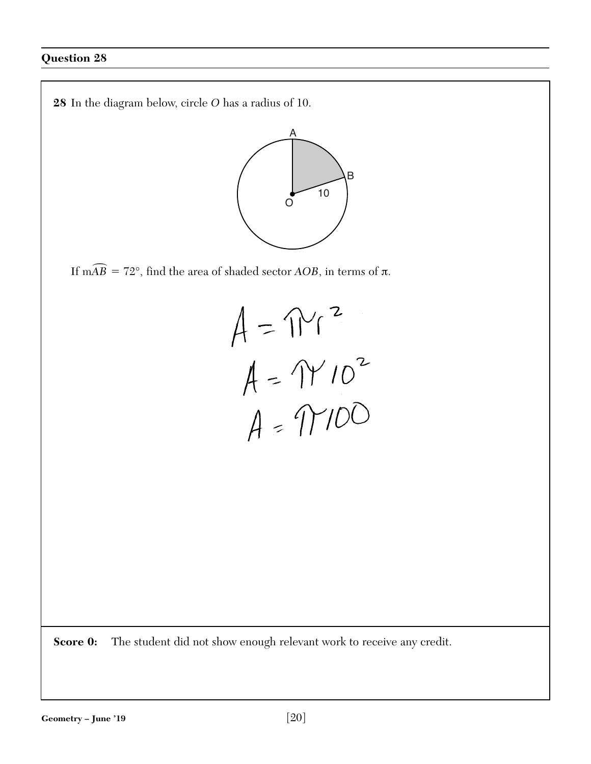

If m $\widehat{AB} = 72^\circ$ , find the area of shaded sector *AOB*, in terms of  $\pi$ .



**Score 0:** The student did not show enough relevant work to receive any credit.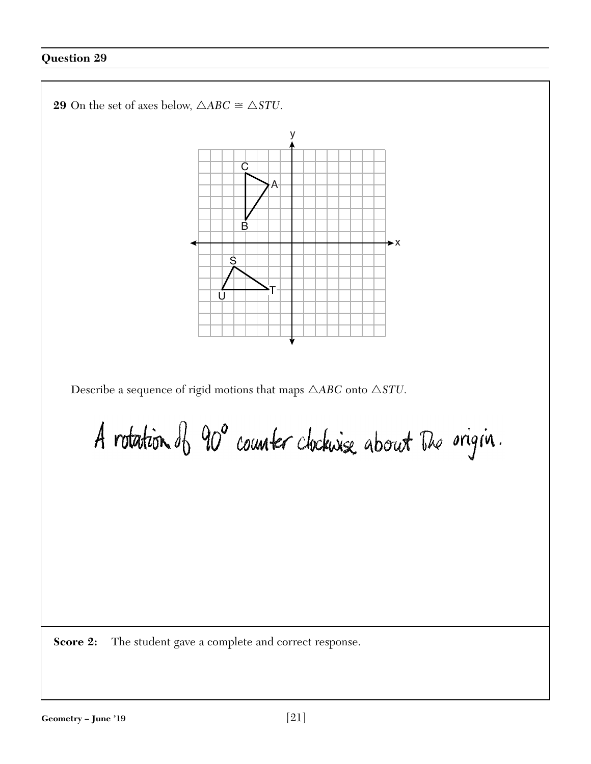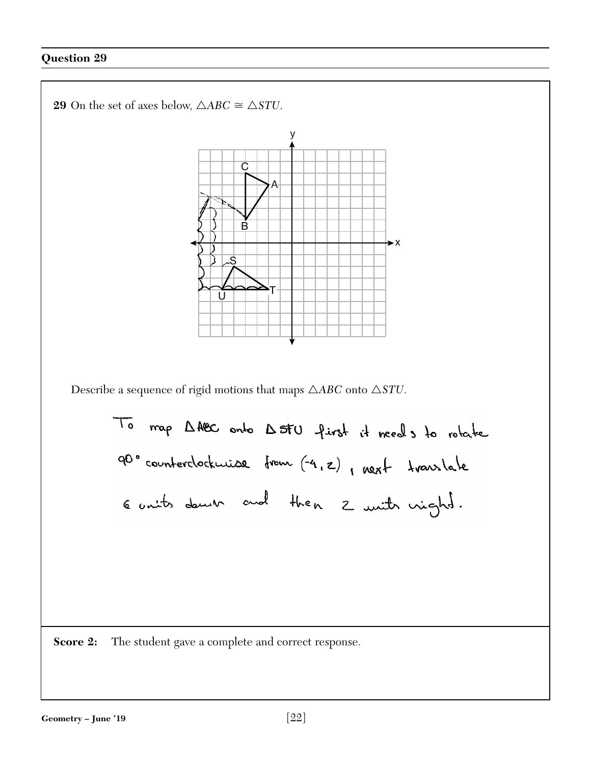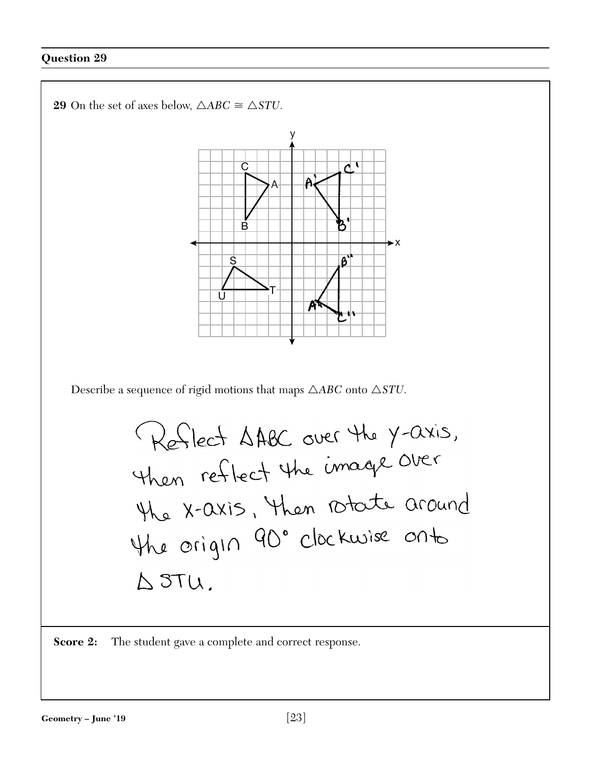

**Score 2:** The student gave a complete and correct response.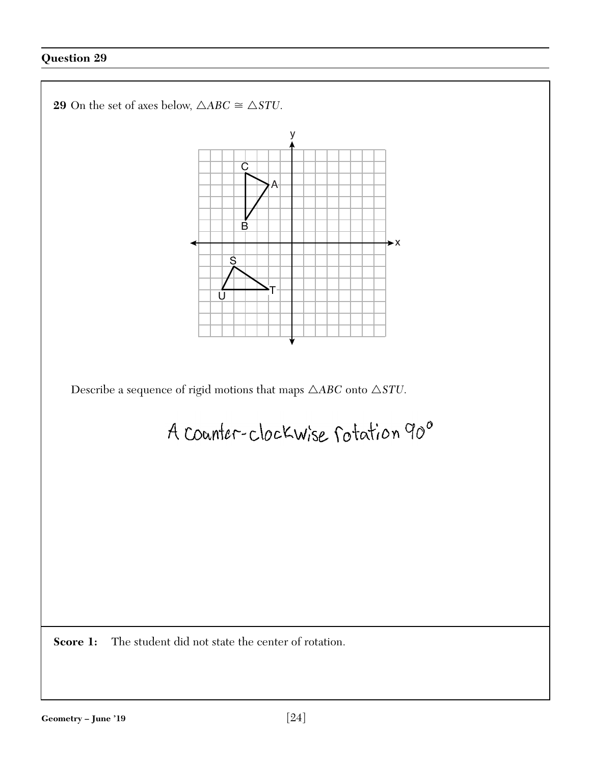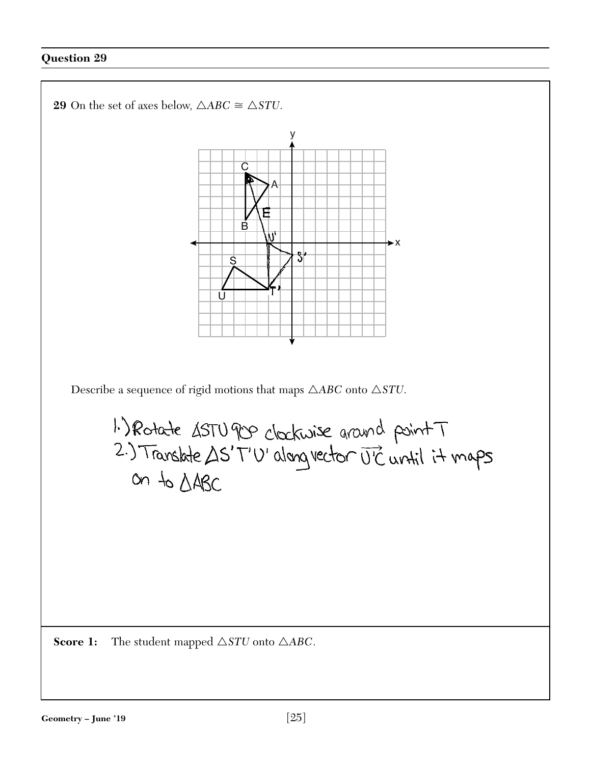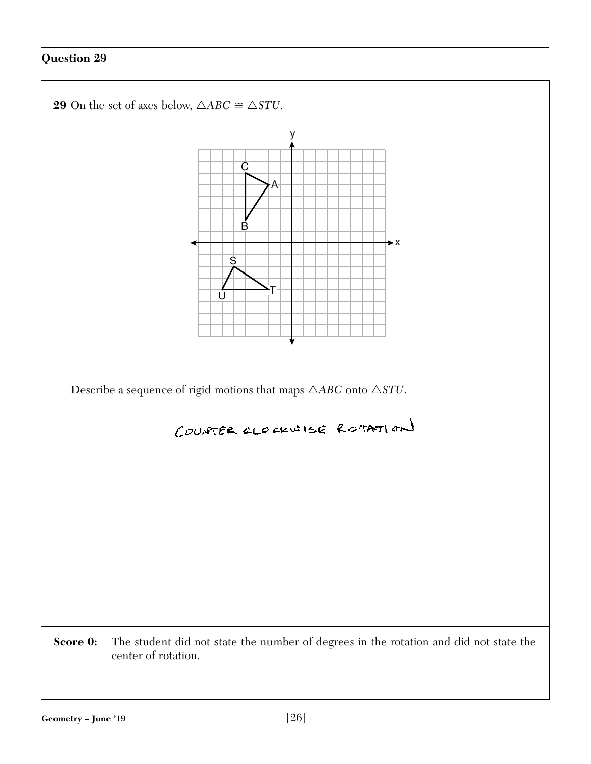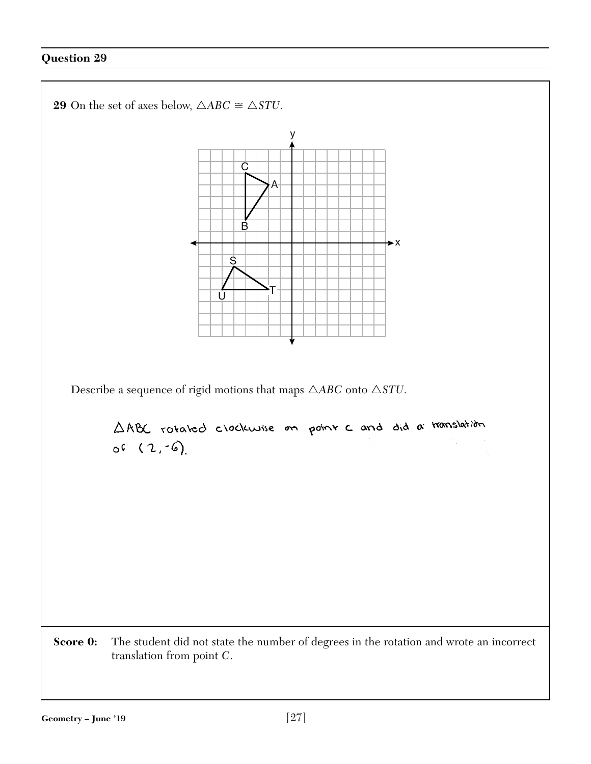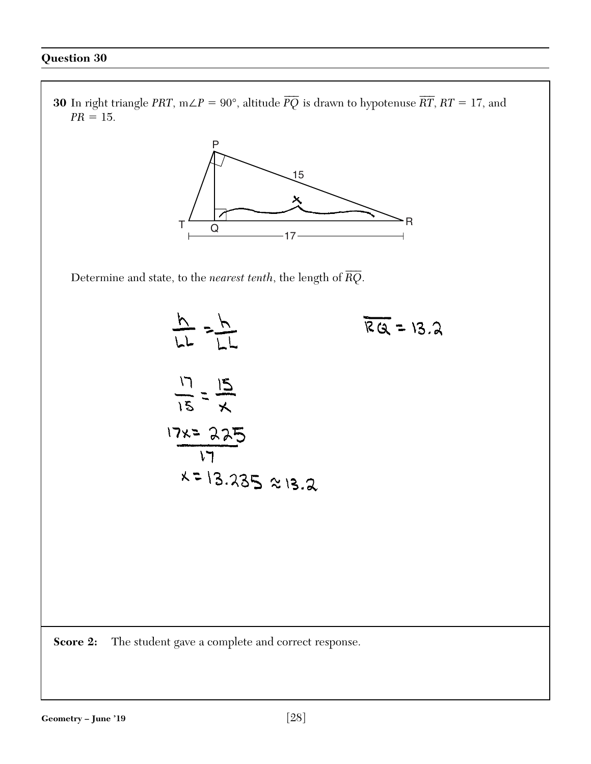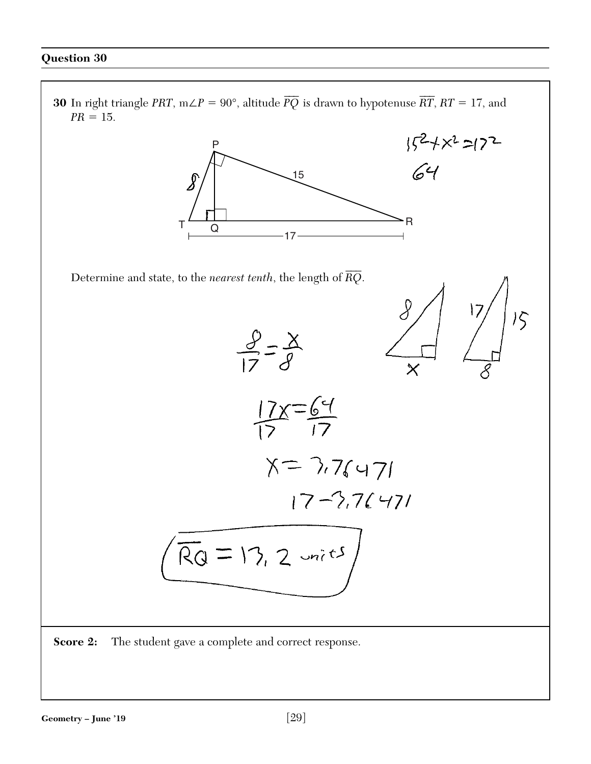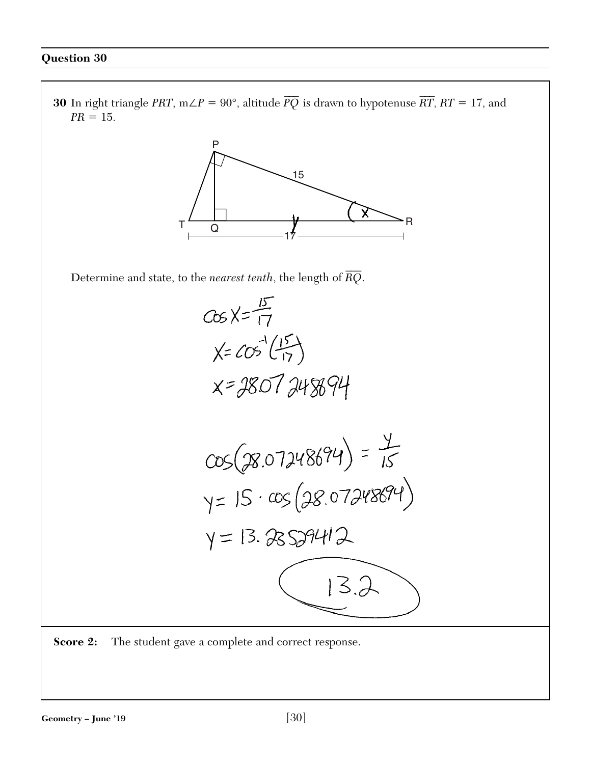**30** In right triangle *PRT*, m∠*P* = 90°, altitude  $\overline{PQ}$  is drawn to hypotenuse  $\overline{RT}$ , *RT* = 17, and  $PR = 15$ .



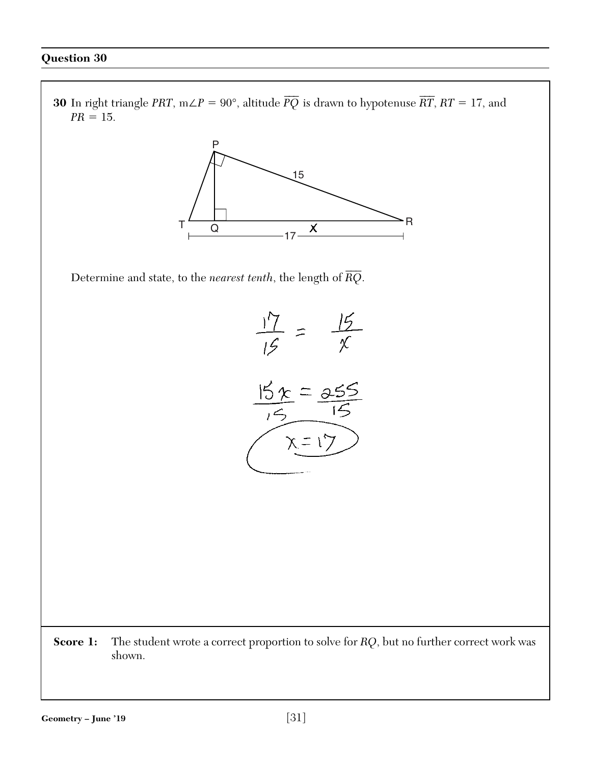**30** In right triangle *PRT*, m∠*P* = 90°, altitude  $\overline{PQ}$  is drawn to hypotenuse  $\overline{RT}$ , *RT* = 17, and  $PR = 15$ .



Determine and state, to the *nearest tenth*, the length of *RQ*  $\overline{\phantom{a}}$ .



**Score 1:** The student wrote a correct proportion to solve for *RQ*, but no further correct work was shown.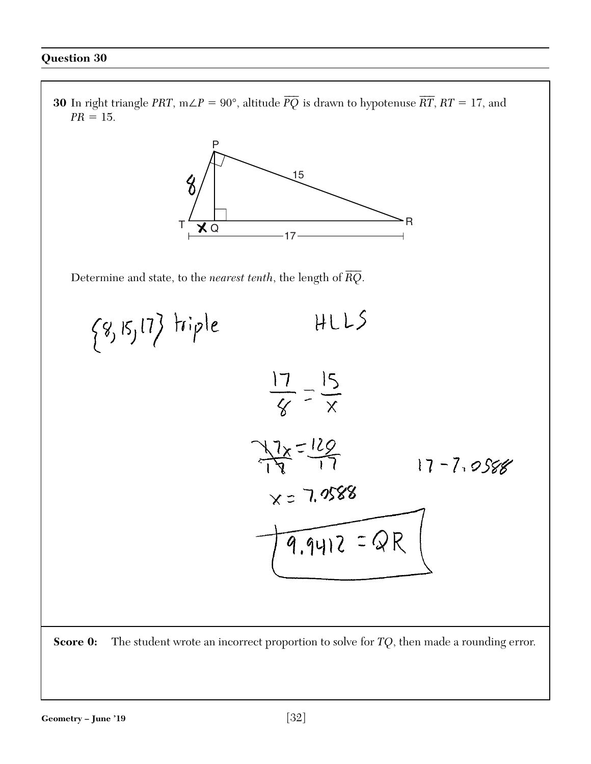**30** In right triangle *PRT*, m∠*P* = 90°, altitude  $\overline{PQ}$  is drawn to hypotenuse  $\overline{RT}$ , *RT* = 17, and  $PR = 15$ . P 15  $\%$ T <del>V</del> R  $XQ$ 17 $\overline{\phantom{a}}$ Determine and state, to the *nearest tenth*, the length of *RQ* .  $HLLS$  $\{8, 15, 17\}$  triple  $\frac{17}{8} = \frac{15}{8}$  $\frac{7}{9}$  =  $\frac{120}{17}$  $17 - 7.0588$  $X = 7.9588$  $\overline{9.9412}$  = QR **Score 0:** The student wrote an incorrect proportion to solve for *TQ*, then made a rounding error.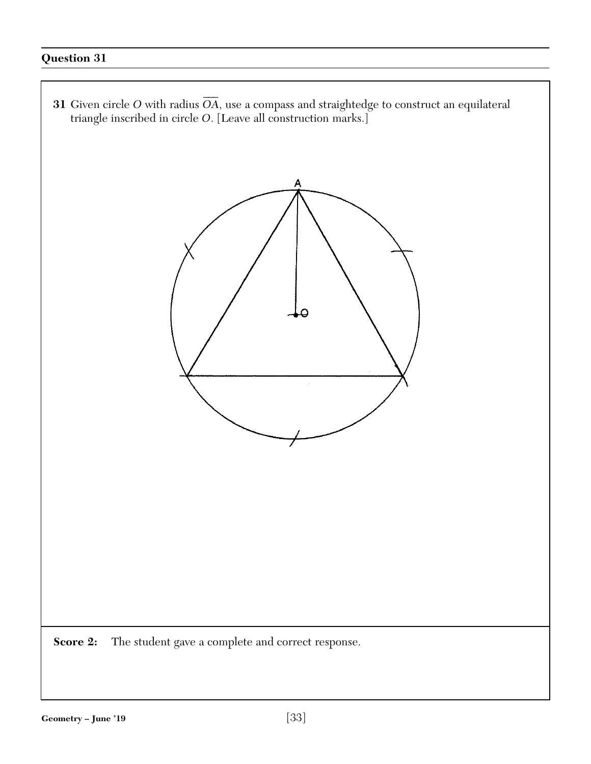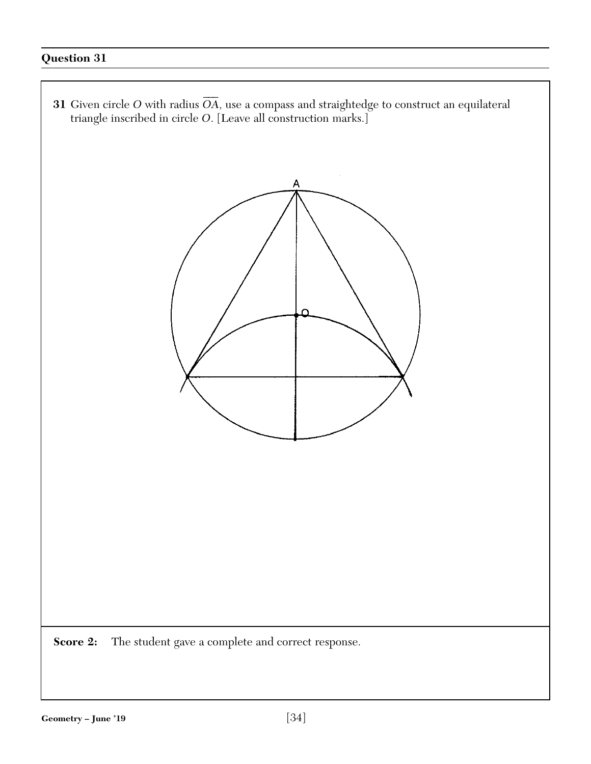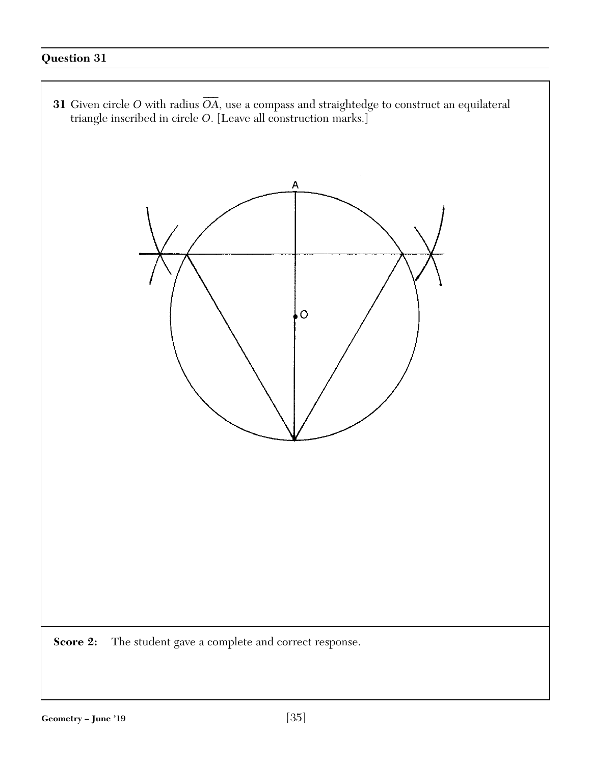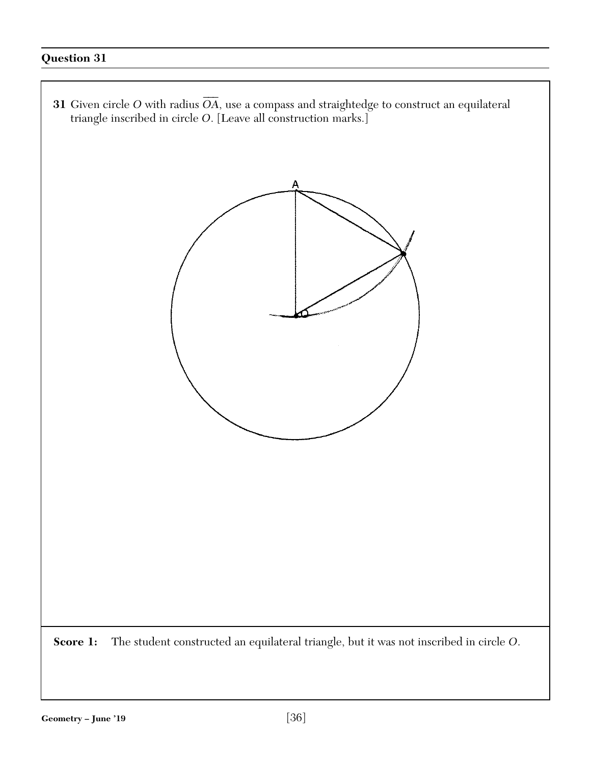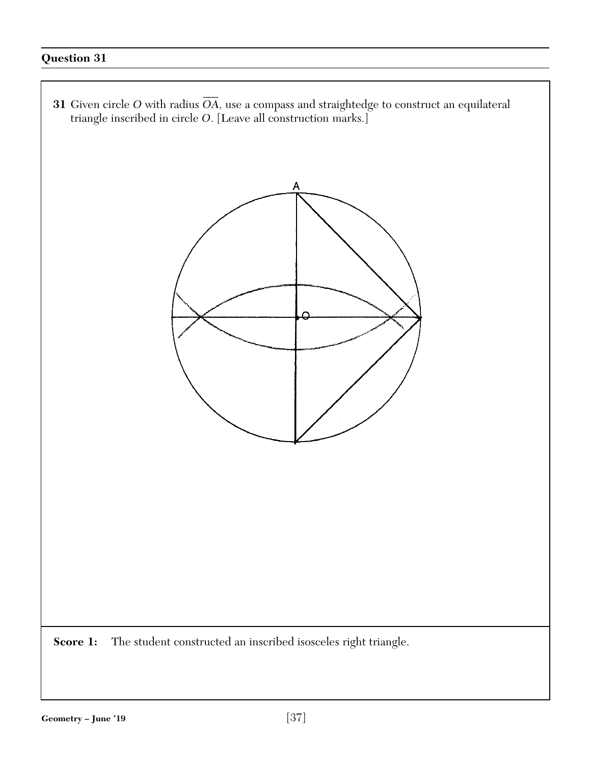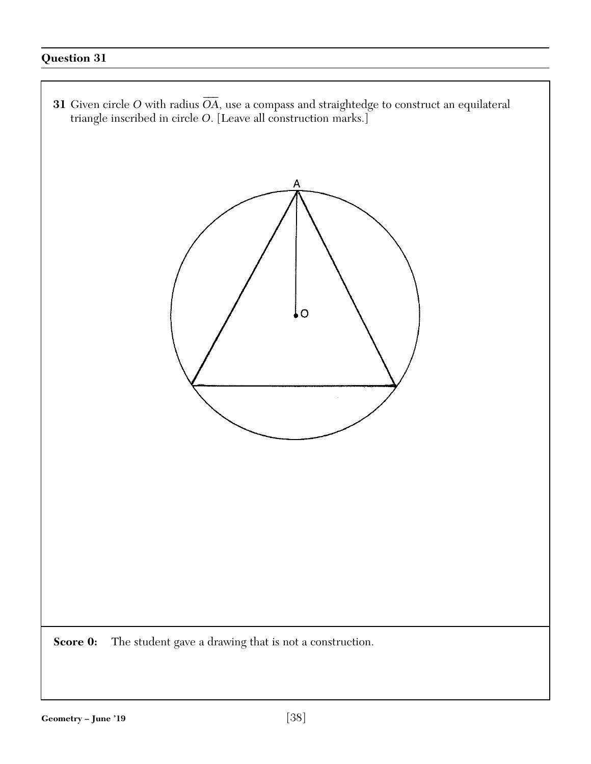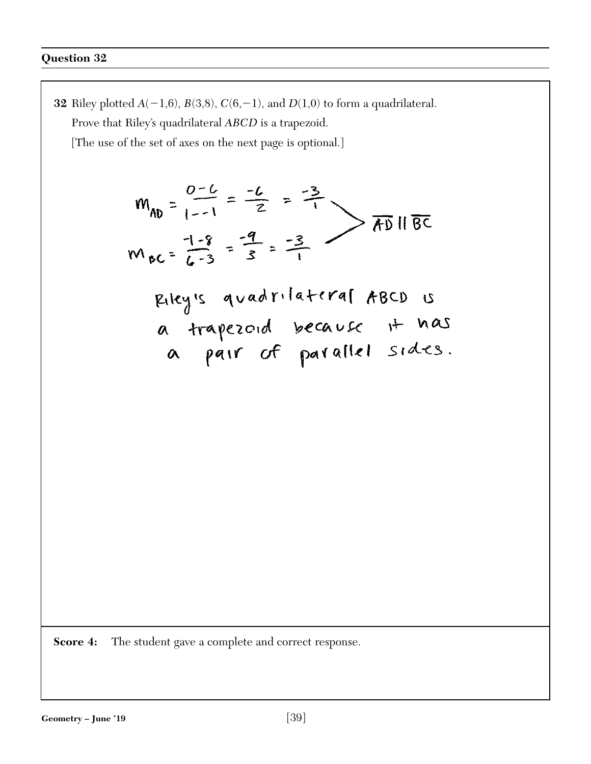**32** Riley plotted  $A(-1,6)$ ,  $B(3,8)$ ,  $C(6,-1)$ , and  $D(1,0)$  to form a quadrilateral. Prove that Riley's quadrilateral *ABCD* is a trapezoid. [The use of the set of axes on the next page is optional.]  $M_{AD} = \frac{0-6}{1-1} = \frac{-6}{2} = \frac{-3}{1}$ <br>  $M_{BC} = \frac{1-8}{6-3} = \frac{-9}{3} = \frac{-3}{1}$ Riley's quadrilateral ABCD is<br>a trapezoid because it has<br>a pair of parallel sides. **Score 4:** The student gave a complete and correct response.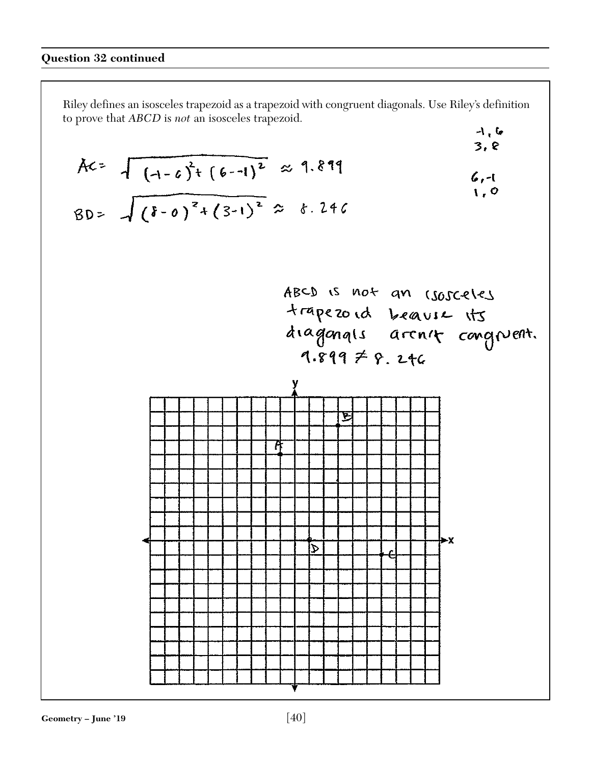Riley defines an isosceles trapezoid as a trapezoid with congruent diagonals. Use Riley's definition to prove that *ABCD* is *not* an isosceles trapezoid.

$$
Ac = \sqrt{(1-c)^{2}+(6-1)^{2}} \approx 1.819
$$
\n80 =  $\sqrt{(1-c)^{2}+(3-1)^{2}} \approx 6.246$   
\n
$$
AC = 1.819
$$
\n
$$
AC = 1.811
$$
\n61.0  
\n1.0  
\n1.0  
\n1.0  
\n1.0  
\n1.0  
\n1.0  
\n1.0  
\n1.0  
\n1.0  
\n1.0  
\n1.0  
\n1.0  
\n1.0  
\n1.0  
\n1.0  
\n1.0  
\n1.0  
\n1.0  
\n1.0  
\n1.0  
\n1.0  
\n1.0  
\n1.0  
\n1.0  
\n1.0  
\n1.0  
\n1.0  
\n1.0  
\n1.0  
\n1.0  
\n1.0  
\n1.0  
\n1.0  
\n1.0  
\n1.0  
\n1.0  
\n1.0  
\n1.0  
\n1.0  
\n1.0  
\n1.0  
\n1.0  
\n1.0  
\n1.0  
\n1.0  
\n1.0  
\n1.0  
\n1.0  
\n1.0  
\n1.0  
\n1.0  
\n1.0  
\n1.0  
\n1.0  
\n1.0  
\n1.0  
\n1.0  
\n1.0  
\n1.0  
\n1.0  
\n1.0  
\n1.0  
\n1.0  
\n1.0  
\n1.0  
\n1.0  
\n1.0  
\n1.0  
\n1.0  
\n1.0  
\n1.0  
\n1.0  
\n1.0  
\n1.0  
\n1.0  
\n1.0  
\n1.0  
\n1.0  
\n1.0  
\n1.0  
\n1.0  
\n1.0  
\n1.0  
\n1.0  
\n1.0  
\n1.0  
\n1.0  
\n1.0  
\n1.0  
\n1.0  
\n1.0  
\n1.0  
\n1.0  
\n1.0  
\n1.0  
\n1.0  
\n1.0  
\n1.0  
\n1.0  
\n1.0  
\n1.0  
\n1.0  
\n1.0  
\n1.0  
\n1.0  
\n1.0  
\n1.0  
\n1.0  
\n1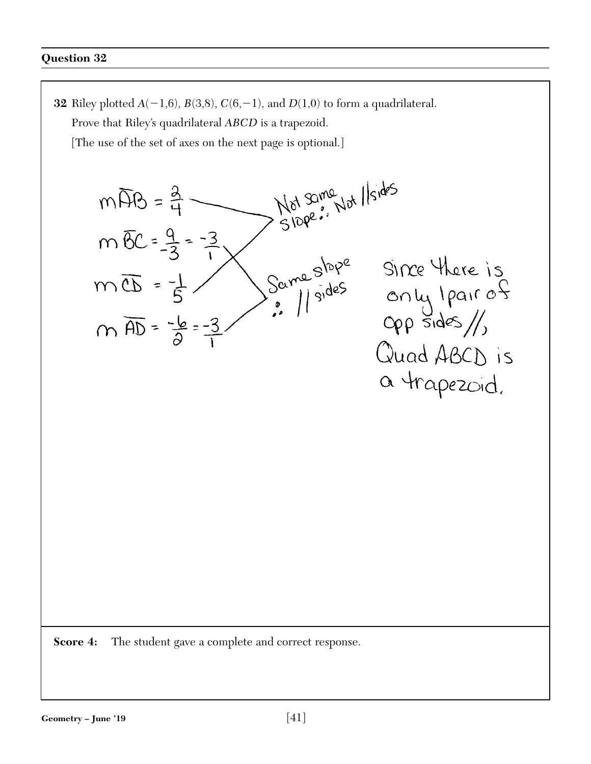**32** Riley plotted  $A(-1,6)$ ,  $B(3,8)$ ,  $C(6,-1)$ , and  $D(1,0)$  to form a quadrilateral. Prove that Riley's quadrilateral *ABCD* is a trapezoid. [The use of the set of axes on the next page is optional.] Not some Not Ilsides  $m\overline{AB}=\frac{3}{4}$  $m \overline{6}C = \frac{9}{3} = -\frac{3}{1}$ Same slope Since there is  $m\overline{\mathbb{C}D}=\frac{1}{5}$ only I pair of  $m \overline{AD} = \frac{-b}{2} = -3$ Quad ABCD is a trapezoid. **Score 4:** The student gave a complete and correct response.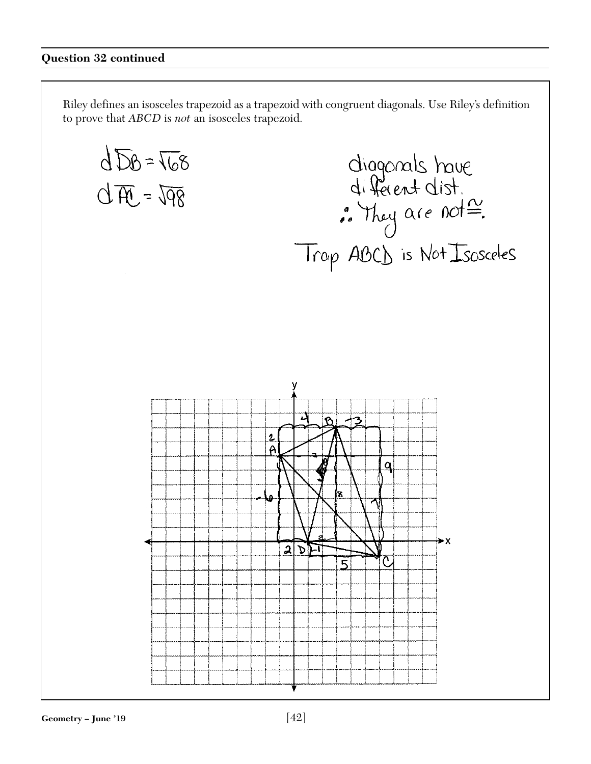#### **Question 32 continued**

 $dDB = T68$ 

Riley defines an isosceles trapezoid as a trapezoid with congruent diagonals. Use Riley's definition to prove that *ABCD* is *not* an isosceles trapezoid.

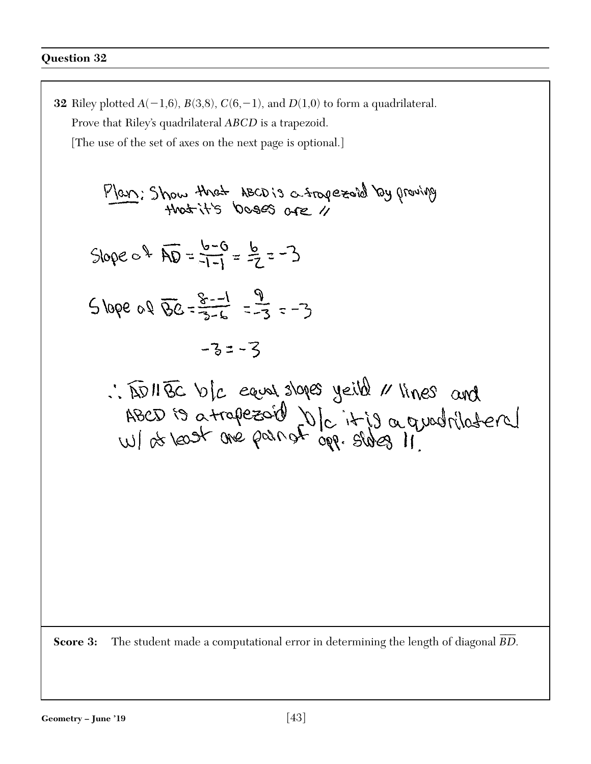**32** Riley plotted  $A(-1,6)$ ,  $B(3,8)$ ,  $C(6,-1)$ , and  $D(1,0)$  to form a quadrilateral. Prove that Riley's quadrilateral *ABCD* is a trapezoid. [The use of the set of axes on the next page is optional.] Plan: Show that ABCD is a trapezord by proving Slope  $c \sqrt[3]{AD} = \frac{b-6}{-1-1} = \frac{b}{7} = -3$  $5\text{lope of }56 = \frac{2}{3}-1 = \frac{9}{4} = -3$  $-32-3$ : IDNEC VIC eaux slopes yeild x lines and ABED is a trapezoid DIC it is a quadrilateral  $\overline{\phantom{a}}$ **Score 3:** The student made a computational error in determining the length of diagonal *BD* .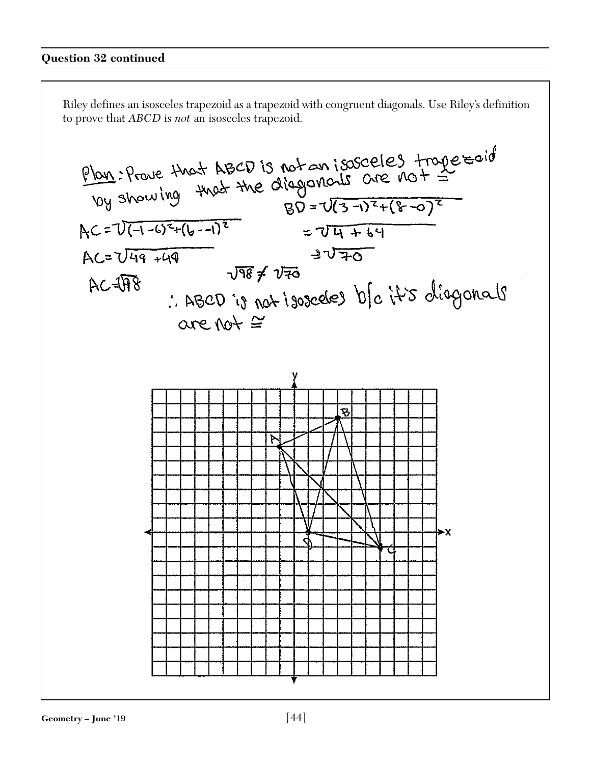Riley defines an isosceles trapezoid as a trapezoid with congruent diagonals. Use Riley's definition to prove that *ABCD* is *not* an isosceles trapezoid.

$$
\frac{p_{001}}{p_{010}}: \frac{p_{000}}{p_{000}}: \frac{p_{000}}{p_{000}} + \frac{p_{000}}{p_{000}} = \frac{p_{000}}{p_{000}} = \frac{p_{000}}{p_{000}} = \frac{p_{000}}{p_{000}} = \frac{p_{000}}{p_{000}} = \frac{p_{000}}{p_{000}} = \frac{p_{000}}{p_{000}} = \frac{p_{000}}{p_{000}} = \frac{p_{000}}{p_{000}} = \frac{p_{000}}{p_{000}} = \frac{p_{000}}{p_{000}} = \frac{p_{000}}{p_{000}} = \frac{p_{000}}{p_{000}} = \frac{p_{000}}{p_{000}} = \frac{p_{000}}{p_{000}} = \frac{p_{000}}{p_{000}} = \frac{p_{000}}{p_{000}} = \frac{p_{000}}{p_{000}} = \frac{p_{000}}{p_{000}} = \frac{p_{000}}{p_{000}} = \frac{p_{000}}{p_{000}} = \frac{p_{000}}{p_{000}} = \frac{p_{000}}{p_{000}} = \frac{p_{000}}{p_{000}} = \frac{p_{000}}{p_{000}} = \frac{p_{000}}{p_{000}} = \frac{p_{000}}{p_{000}} = \frac{p_{000}}{p_{000}} = \frac{p_{000}}{p_{000}} = \frac{p_{000}}{p_{000}} = \frac{p_{000}}{p_{000}} = \frac{p_{000}}{p_{000}} = \frac{p_{000}}{p_{000}} = \frac{p_{000}}{p_{000}} = \frac{p_{000}}{p_{000}} = \frac{p_{000}}{p_{000}} = \frac{p_{000}}{p_{000}} = \frac{p_{000}}{p_{000}} = \frac{p_{000}}{p_{000}} = \frac{p_{000}}{p_{000}} = \frac{p_{000}}{p_{000}} = \frac{p_{000}}{p_{
$$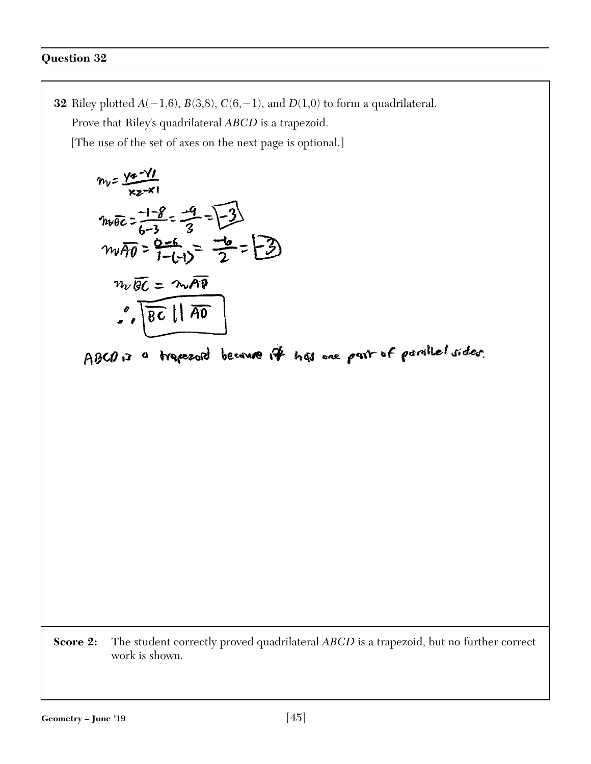**32** Riley plotted  $A(-1,6)$ ,  $B(3,8)$ ,  $C(6,-1)$ , and  $D(1,0)$  to form a quadrilateral. Prove that Riley's quadrilateral *ABCD* is a trapezoid. [The use of the set of axes on the next page is optional.]  $m_v = \frac{\sqrt{a - \gamma}}{\kappa z - \kappa}$  $m\overline{\theta}$  =  $\frac{1-8}{6-3}$  =  $\frac{-9}{3}$  =  $\overline{\left[\frac{-3}{2}\right]}$ <br> $m\overline{\theta}$  =  $\overline{\frac{9-6}{1-(1)}}$  =  $\overline{\frac{-6}{2}}$  =  $\overline{\left[\frac{-3}{2}\right]}$  $m_v\overline{BC} = m\overline{AB}$  $\sqrt[6]{8c}$  |  $\overline{AD}$ ABCO is a trapezoid because it has one pair of parallel sides.

**Score 2:** The student correctly proved quadrilateral *ABCD* is a trapezoid, but no further correct work is shown.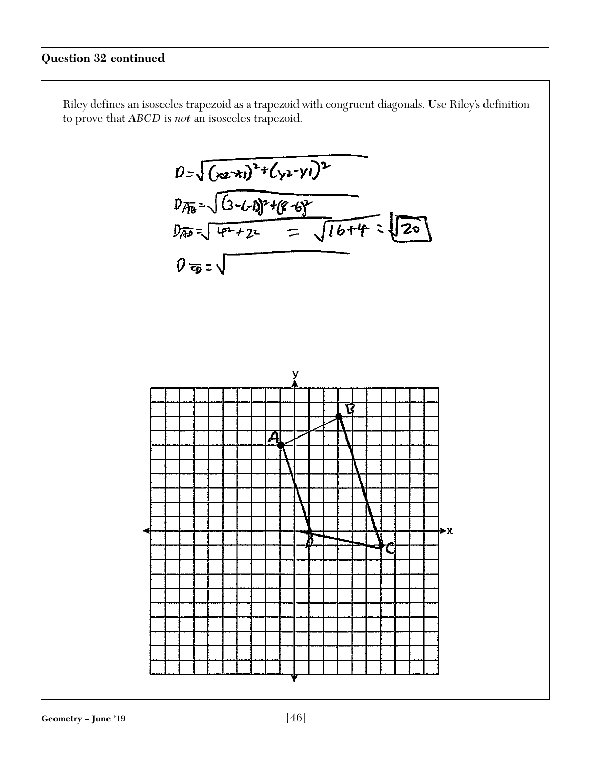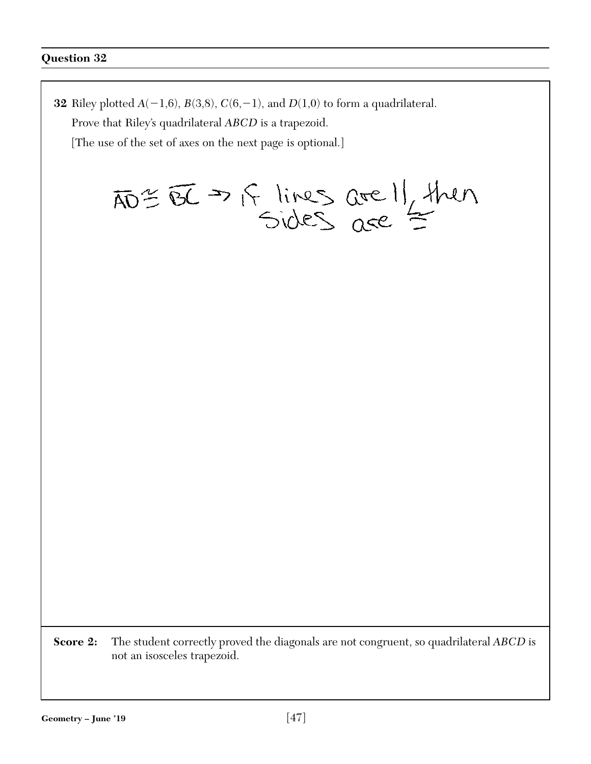**32** Riley plotted  $A(-1,6)$ ,  $B(3,8)$ ,  $C(6,-1)$ , and  $D(1,0)$  to form a quadrilateral. Prove that Riley's quadrilateral *ABCD* is a trapezoid. [The use of the set of axes on the next page is optional.]  $\overline{AD} \cong \overline{BC} \rightarrow \overline{B}$  lines are l/ then **Score 2:** The student correctly proved the diagonals are not congruent, so quadrilateral *ABCD* is not an isosceles trapezoid.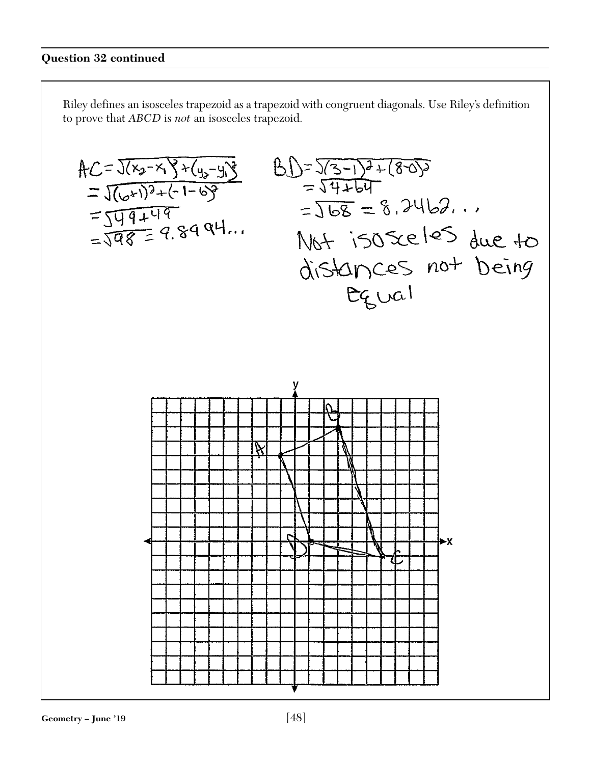Riley defines an isosceles trapezoid as a trapezoid with congruent diagonals. Use Riley's definition to prove that *ABCD* is *not* an isosceles trapezoid.

$$
AC = 3(x_{2}-x_{3}x_{(4,-9)})
$$
  
\n $= 3(x_{2}+3)x_{(-1-6)}$   
\n $= 5x_{4}+17$   
\n $= 5x_{4}+17$   
\n $= 3x_{4}+17$   
\n $= 3x_{4}+17$   
\n $= 3x_{4}+17$   
\n $= 3x_{4}+17$   
\n $= 3x_{4}+17$   
\n $= 3x_{4}+17$   
\n $= 3x_{4}+17$   
\n $= 3x_{4}+17$   
\n $= 3x_{4}+17$   
\n $= 3x_{4}+17$   
\n $= 3x_{4}+17$   
\n $= 3x_{4}+17$   
\n $= 3x_{4}+17$   
\n $= 3x_{4}+17$   
\n $= 3x_{4}+17$   
\n $= 3x_{4}+17$   
\n $= 3x_{4}+17$   
\n $= 3x_{4}+17$   
\n $= 3x_{4}+17$   
\n $= 3x_{4}+17$   
\n $= 3x_{4}+17$   
\n $= 3x_{4}+17$   
\n $= 3x_{4}+17$   
\n $= 3x_{4}+17$   
\n $= 3x_{4}+17$   
\n $= 3x_{4}+17$   
\n $= 3x_{4}+17$   
\n $= 3x_{4}+17$   
\n $= 3x_{4}+17$   
\n $= 3x_{4}+17$   
\n $= 3x_{4}+17$   
\n $= 3x_{4}+17$   
\n $= 3x_{4}+17$   
\n $= 3x_{4}+17$   
\n $= 3x_{4}+17$   
\n $= 3x_{4}+17$   
\n $= 3x_{4}+17$   
\n $= 3x_{4}+17$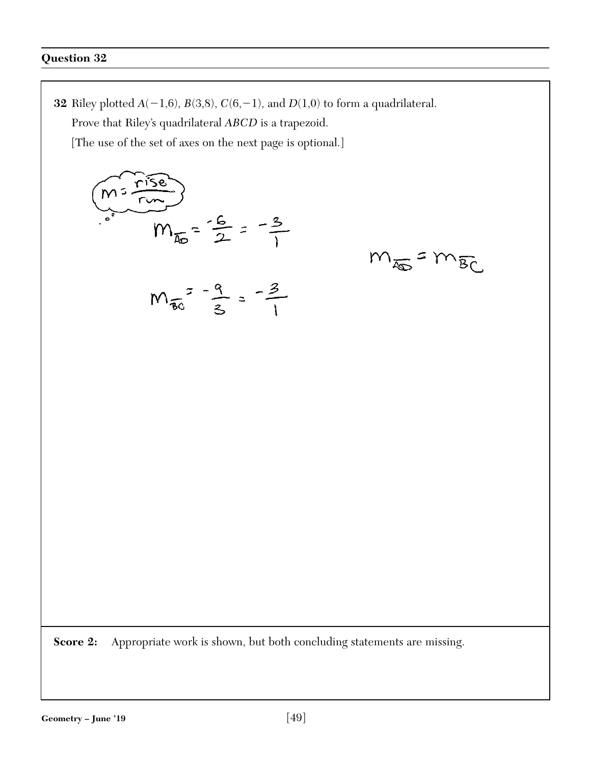**32** Riley plotted  $A(-1,6)$ ,  $B(3,8)$ ,  $C(6,-1)$ , and  $D(1,0)$  to form a quadrilateral.

 $m_{\overline{4D}} = m_{\overline{BC}}$ 

Prove that Riley's quadrilateral *ABCD* is a trapezoid.

[The use of the set of axes on the next page is optional.]

$$
(m = \frac{15e}{10})
$$
  
\n
$$
m_{\overline{36}} = \frac{16}{2} = \frac{-3}{1}
$$
  
\n
$$
m_{\overline{36}} = \frac{9}{3} = \frac{-3}{1}
$$

**Score 2:** Appropriate work is shown, but both concluding statements are missing.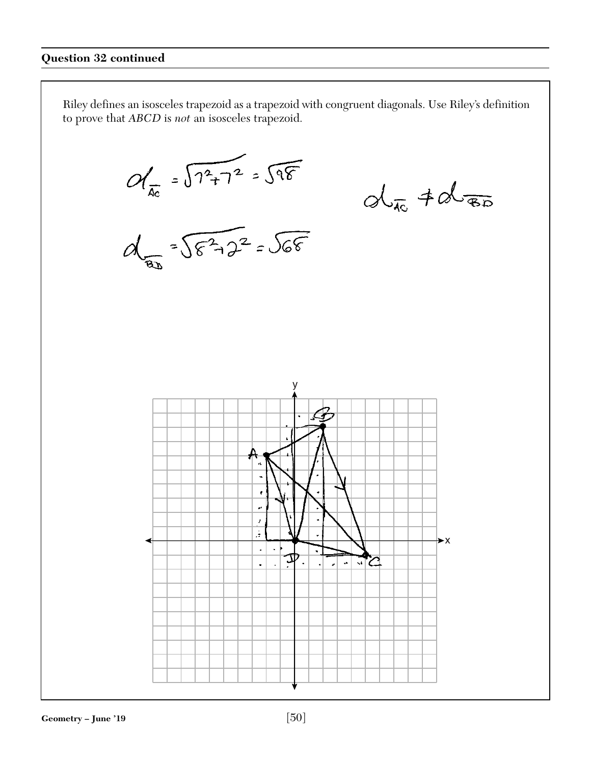to prove that *ABCD* is *not* an isosceles trapezoid.

 $M_{\pi} = \sqrt{1^{2}+1^{2}} = \sqrt{98}$ <br> $M_{\pi} = \sqrt{8^{2}+2^{2}} = \sqrt{68}$  $dx + dx$ y ł J.  $\pmb{x}$ ă  $\blacktriangleright$  X  $\mathbb{Z}^2$  $\ddot{\bullet}$ ア. ਾਖ  $\bar{\mathbf{a}}$  $\Box$  $\Box$  $\mathbf{r}$ L. Geometry – June '19 [50]

Riley defines an isosceles trapezoid as a trapezoid with congruent diagonals. Use Riley's definition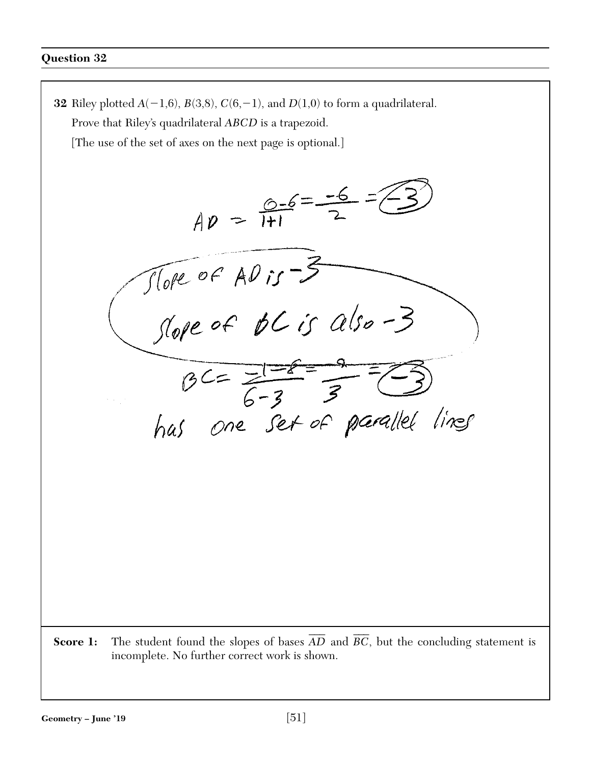**32** Riley plotted  $A(-1,6)$ ,  $B(3,8)$ ,  $C(6,-1)$ , and  $D(1,0)$  to form a quadrilateral. Prove that Riley's quadrilateral *ABCD* is a trapezoid. [The use of the set of axes on the next page is optional.]  $AD = \frac{0.6}{11} = \frac{-6}{2}$ There of AD is -3<br>Slope of  $BC$  is also -3  $BC=\frac{1-e}{6-3}=\frac{9}{3}=\sqrt{3}$ <br>has one set of parallel lines \_\_\_  $\overline{\phantom{a}}$ **Score 1:** The student found the slopes of bases *AD* and *BC* , but the concluding statement is incomplete. No further correct work is shown.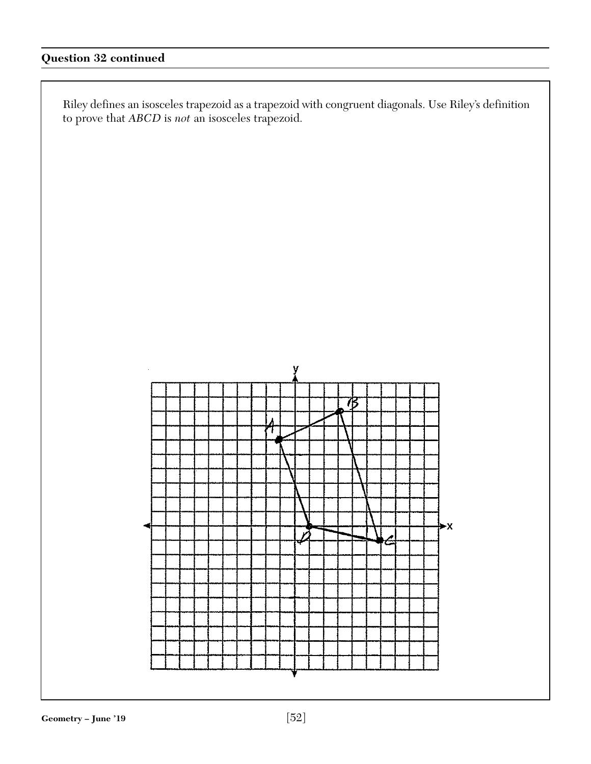# **Question 32 continued**

Riley defines an isosceles trapezoid as a trapezoid with congruent diagonals. Use Riley's definition to prove that *ABCD* is *not* an isosceles trapezoid.

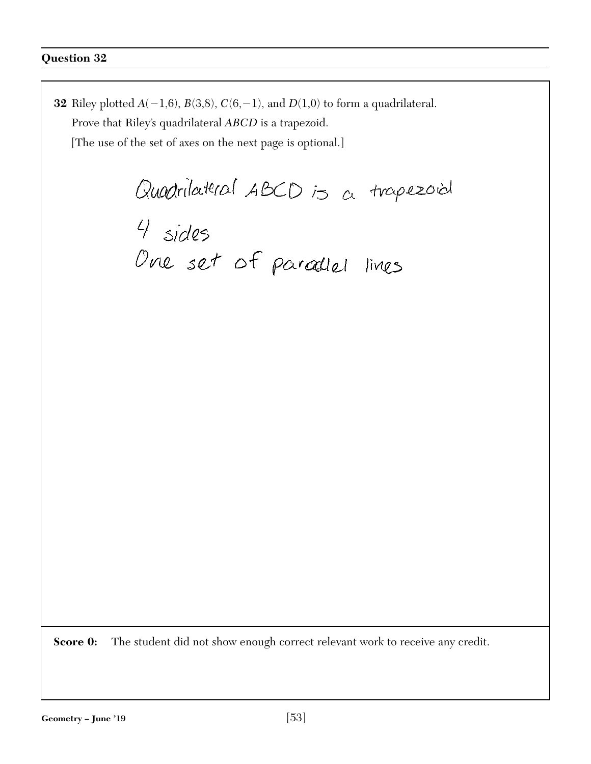**32** Riley plotted  $A(-1,6)$ ,  $B(3,8)$ ,  $C(6,-1)$ , and  $D(1,0)$  to form a quadrilateral. Prove that Riley's quadrilateral *ABCD* is a trapezoid. [The use of the set of axes on the next page is optional.] Quadrilateral ABCD is a trapezoid University 15 a map<br>4 sides<br>One set of paradlel lines

**Score 0:** The student did not show enough correct relevant work to receive any credit.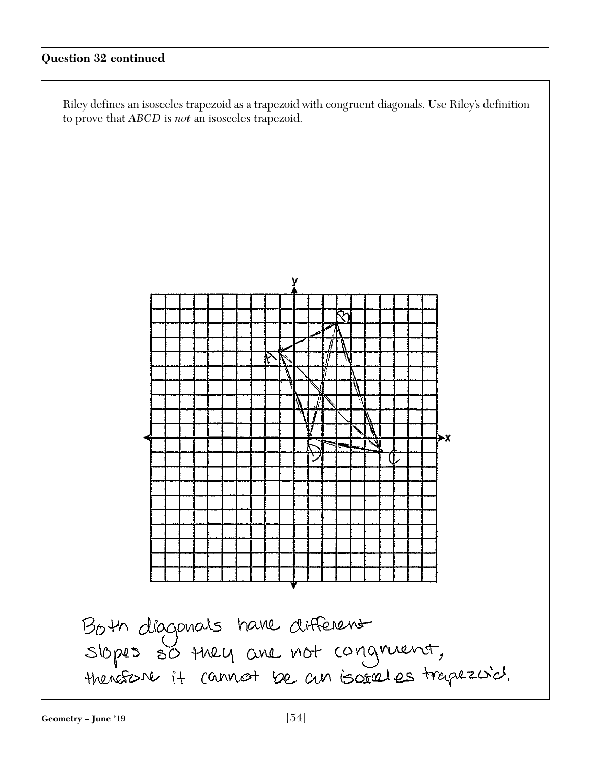## **Question 32 continued**

Riley defines an isosceles trapezoid as a trapezoid with congruent diagonals. Use Riley's definition to prove that *ABCD* is *not* an isosceles trapezoid.

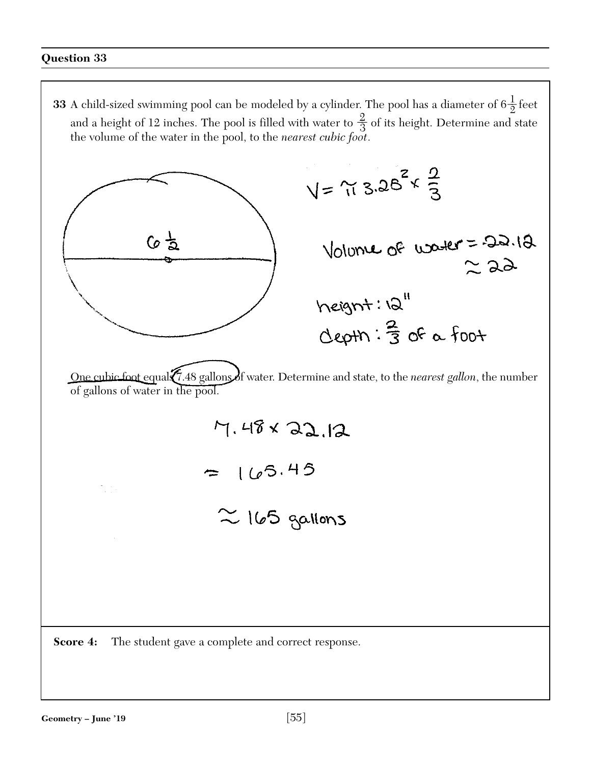**33** A child-sized swimming pool can be modeled by a cylinder. The pool has a diameter of  $6\frac{1}{2}$  feet and a height of 12 inches. The pool is filled with water to  $\frac{2}{3}$  of its height. Determine and state the volume of the water in the pool, to the *nearest cubic foot*.

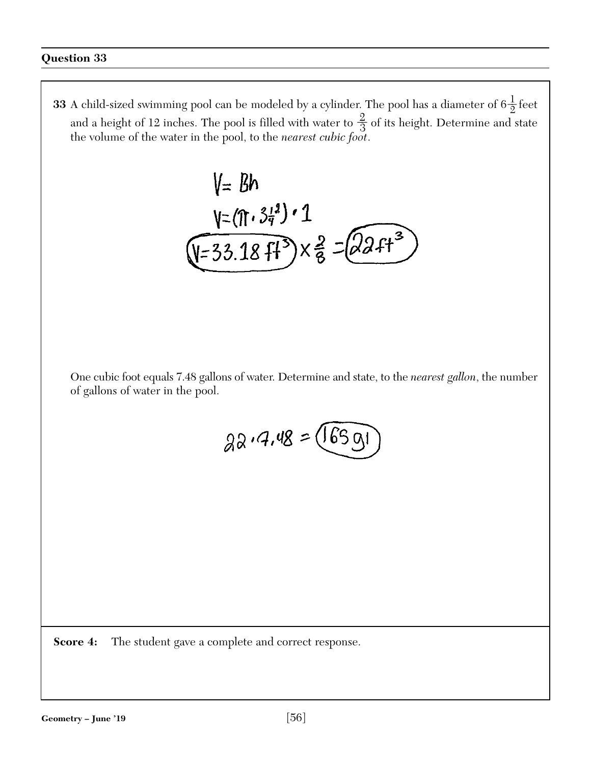**33** A child-sized swimming pool can be modeled by a cylinder. The pool has a diameter of  $6\frac{1}{2}$  feet and a height of 12 inches. The pool is filled with water to  $\frac{2}{3}$  of its height. Determine and state the volume of the water in the pool, to the *nearest cubic foot*.

V= Bh  
\nV=(\pi.34<sup>1</sup>) · 1  
\nV=33.18 ff<sup>3</sup>) × 
$$
\frac{2}{8}
$$
 =  $(22.4^{3})$ 

One cubic foot equals 7.48 gallons of water. Determine and state, to the *nearest gallon*, the number of gallons of water in the pool.

$$
22.4.48 = \sqrt{6591}
$$

**Score 4:** The student gave a complete and correct response.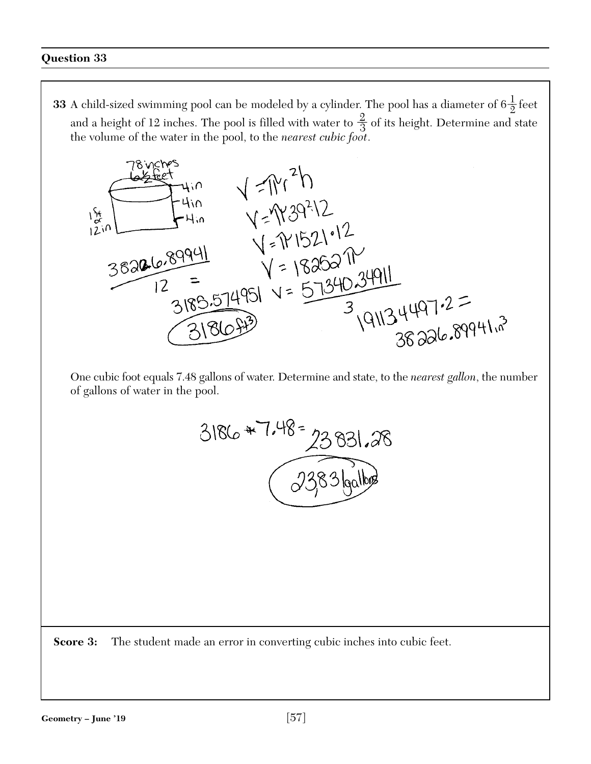**33** A child-sized swimming pool can be modeled by a cylinder. The pool has a diameter of  $6\frac{1}{2}$  feet and a height of 12 inches. The pool is filled with water to  $\frac{2}{3}$  of its height. Determine and state the volume of the water in the pool, to the *nearest cubic foot*.



One cubic foot equals 7.48 gallons of water. Determine and state, to the *nearest gallon*, the number of gallons of water in the pool.



**Score 3:** The student made an error in converting cubic inches into cubic feet.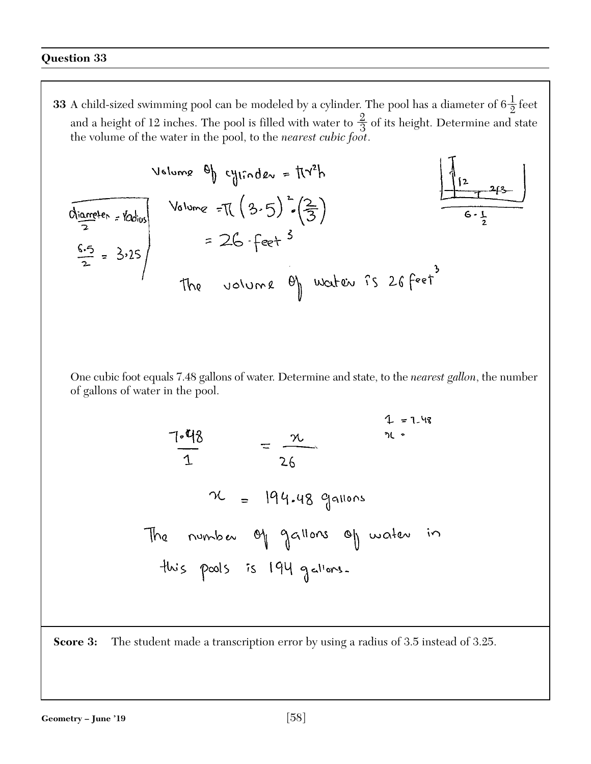**33** A child-sized swimming pool can be modeled by a cylinder. The pool has a diameter of  $6\frac{1}{2}$  feet and a height of 12 inches. The pool is filled with water to  $\frac{2}{3}$  of its height. Determine and state the volume of the water in the pool, to the *nearest cubic foot*.

$$
\frac{V_{\text{slume}} \Theta_{\text{l}}}{\frac{1}{2} \cdot \frac{1}{2} \cdot \frac{1}{2} \cdot \frac{1}{2}}
$$
\n
$$
\frac{V_{\text{slume}}}{2} = \frac{3.25}{2}
$$
\n
$$
\frac{6.5}{2} = 3.25
$$
\n
$$
V_{\text{slume}} = 26 - \text{feet}^3
$$
\n
$$
V_{\text{clume}} = 26 - \text{feet}^3
$$
\n
$$
V_{\text{clume}} = 26 - \text{feet}^3
$$
\n
$$
V_{\text{clume}} = 26 - \text{feet}^3
$$

One cubic foot equals 7.48 gallons of water. Determine and state, to the *nearest gallon*, the number of gallons of water in the pool.

$$
\frac{7-48}{1} = \frac{x}{26}
$$
\n
$$
\frac{4}{x} = 1.48
$$
\n
$$
\frac{26}{1} = 194.48 \text{ gauss}
$$
\n
$$
\frac{26}{10} = 194.48 \text{ Gauss}
$$
\n
$$
\frac{26}{10} = 104.48 \text{ Gauss}
$$
\n
$$
\frac{26}{10} = 1.48 \text{ days}
$$

**Score 3:** The student made a transcription error by using a radius of 3.5 instead of 3.25.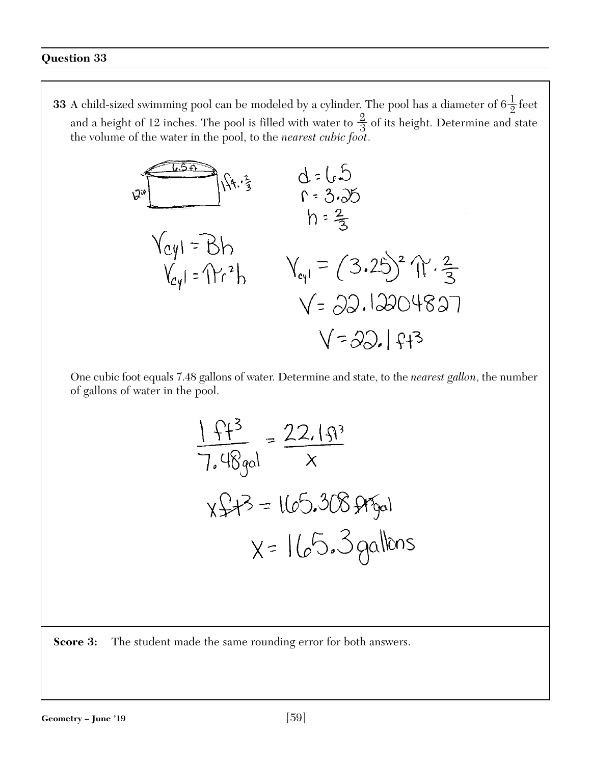**33** A child-sized swimming pool can be modeled by a cylinder. The pool has a diameter of  $6\frac{1}{2}$  feet and a height of 12 inches. The pool is filled with water to  $\frac{2}{3}$  of its height. Determine and state the volume of the water in the pool, to the *nearest cubic foot*.



One cubic foot equals 7.48 gallons of water. Determine and state, to the *nearest gallon*, the number of gallons of water in the pool.

$$
\frac{1 + f + 3}{7.48gol} = \frac{22.15f^{3}}{x}
$$
  

$$
x f + 3 = 165.308 ffgol
$$
  

$$
x = 165.308 ffgol
$$

**Score 3:** The student made the same rounding error for both answers.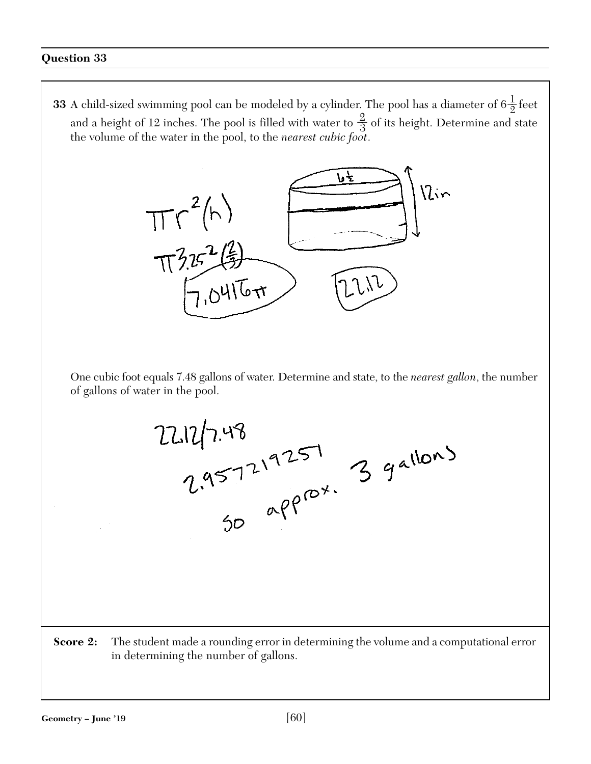**33** A child-sized swimming pool can be modeled by a cylinder. The pool has a diameter of  $6\frac{1}{2}$  feet and a height of 12 inches. The pool is filled with water to  $\frac{2}{3}$  of its height. Determine and state the volume of the water in the pool, to the *nearest cubic foot*.



One cubic foot equals 7.48 gallons of water. Determine and state, to the *nearest gallon*, the number of gallons of water in the pool.

 $22.12/7.48$ <br>  $2.957219257$ <br>  $39^{a160}$ <br>  $30^{a9}$ 

**Score 2:** The student made a rounding error in determining the volume and a computational error in determining the number of gallons.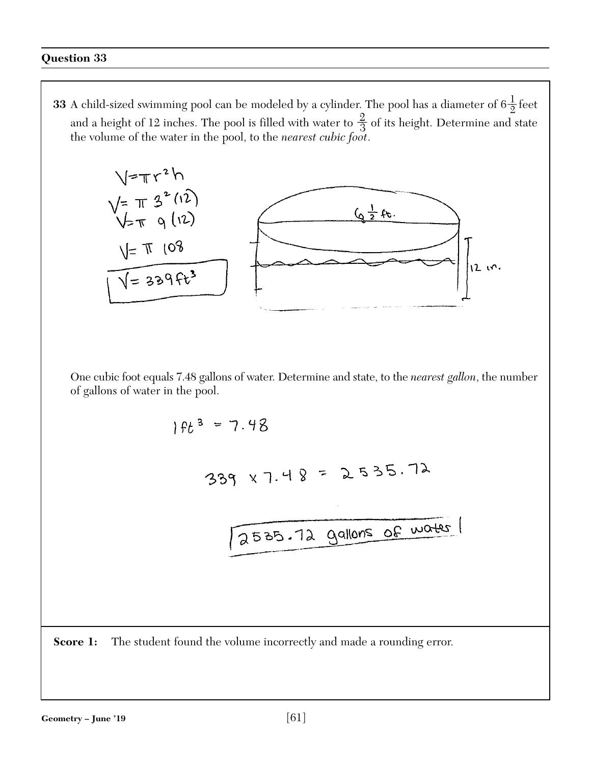**33** A child-sized swimming pool can be modeled by a cylinder. The pool has a diameter of  $6\frac{1}{2}$  feet and a height of 12 inches. The pool is filled with water to  $\frac{2}{3}$  of its height. Determine and state the volume of the water in the pool, to the *nearest cubic foot*.



One cubic foot equals 7.48 gallons of water. Determine and state, to the *nearest gallon*, the number of gallons of water in the pool.

$$
1ft^{3} = 7.48
$$
  
\n339 x 7.48 = 2535.72  
\n2535.72 gallons of water

**Score 1:** The student found the volume incorrectly and made a rounding error.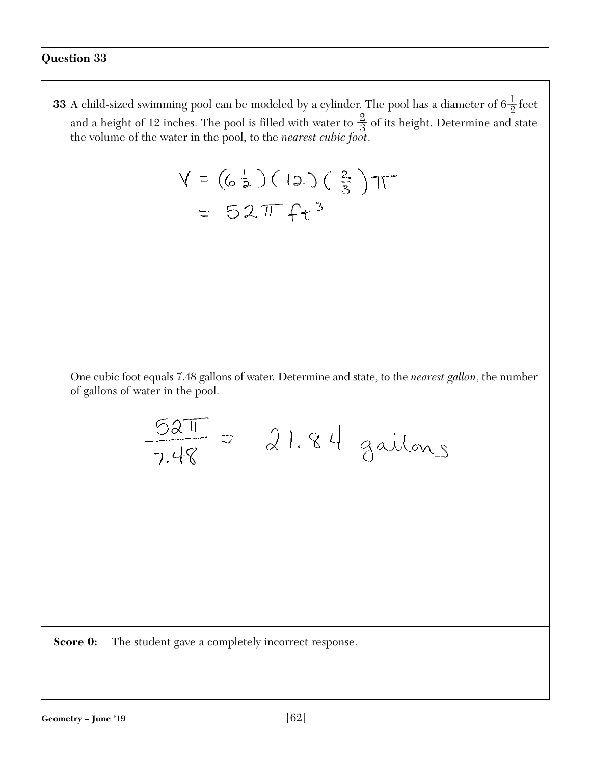**33** A child-sized swimming pool can be modeled by a cylinder. The pool has a diameter of  $6\frac{1}{2}$  feet and a height of 12 inches. The pool is filled with water to  $\frac{2}{3}$  of its height. Determine and state the volume of the water in the pool, to the *nearest cubic foot*.

$$
V = (6\frac{1}{2})(12)(\frac{2}{3})\pi
$$
  
= 52 $\pi$  +2<sup>3</sup>

One cubic foot equals 7.48 gallons of water. Determine and state, to the *nearest gallon*, the number of gallons of water in the pool.

$$
\frac{52\pi}{248} = 21.84
$$
gallons

**Score 0:** The student gave a completely incorrect response.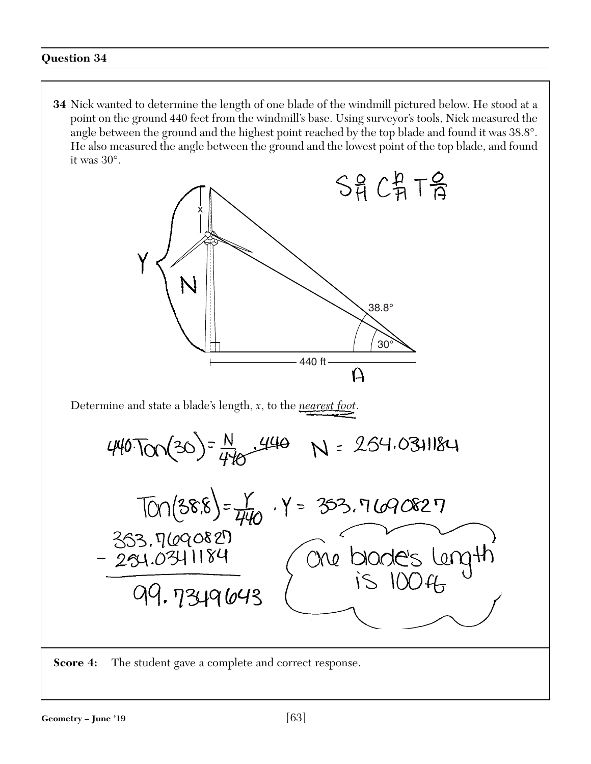**34** Nick wanted to determine the length of one blade of the windmill pictured below. He stood at a point on the ground 440 feet from the windmill's base. Using surveyor's tools, Nick measured the angle between the ground and the highest point reached by the top blade and found it was 38.8°. He also measured the angle between the ground and the lowest point of the top blade, and found it was 30°.



**Score 4:** The student gave a complete and correct response.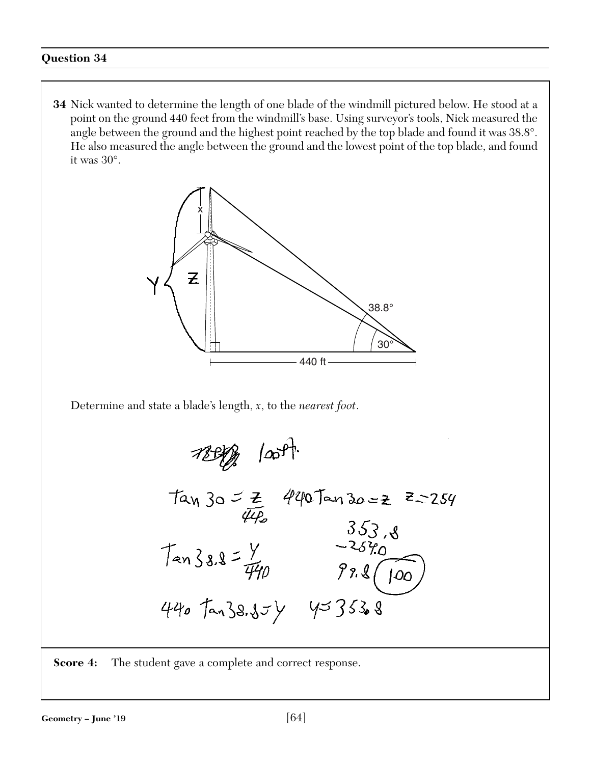**34** Nick wanted to determine the length of one blade of the windmill pictured below. He stood at a point on the ground 440 feet from the windmill's base. Using surveyor's tools, Nick measured the angle between the ground and the highest point reached by the top blade and found it was 38.8°. He also measured the angle between the ground and the lowest point of the top blade, and found it was 30°.

![](_page_63_Figure_2.jpeg)

Determine and state a blade's length, *x*, to the *nearest foot*.

78909 - 10091.  
\n
$$
tan 30 = \frac{2}{44.2}
$$
 4407 and 30 = 2 = 2.54  
\n $tan 38.8 = \frac{y}{440}$  3.53.8  
\n $tan 38.8 = \frac{y}{440}$  9.8(100)  
\n440 7 and 38.85 y 4=353.8

**Score 4:** The student gave a complete and correct response.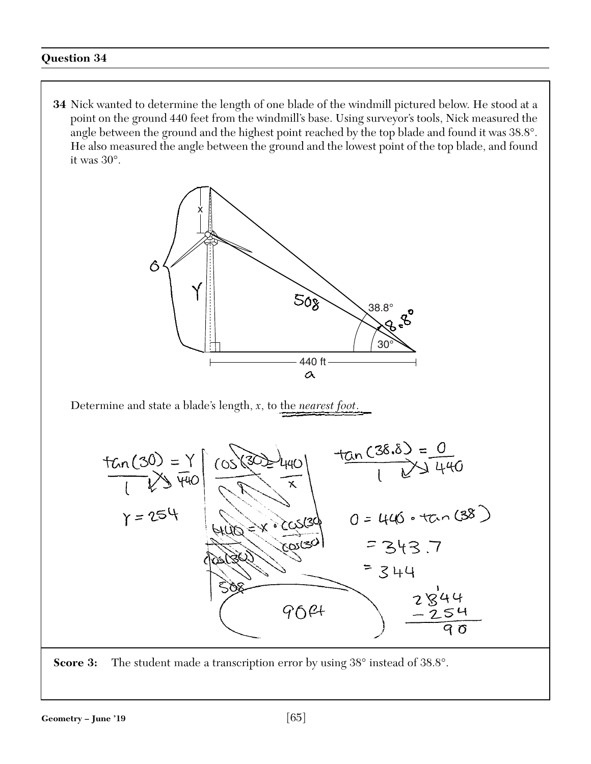**34** Nick wanted to determine the length of one blade of the windmill pictured below. He stood at a point on the ground 440 feet from the windmill's base. Using surveyor's tools, Nick measured the angle between the ground and the highest point reached by the top blade and found it was 38.8°. He also measured the angle between the ground and the lowest point of the top blade, and found it was 30°.

![](_page_64_Figure_2.jpeg)

Determine and state a blade's length, *x*, to the *nearest foot*.

![](_page_64_Figure_4.jpeg)

![](_page_64_Figure_5.jpeg)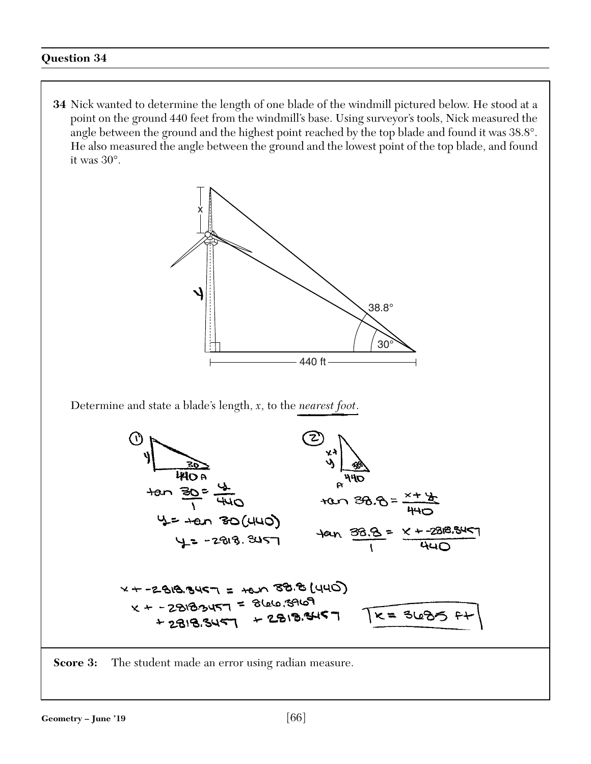**34** Nick wanted to determine the length of one blade of the windmill pictured below. He stood at a point on the ground 440 feet from the windmill's base. Using surveyor's tools, Nick measured the angle between the ground and the highest point reached by the top blade and found it was 38.8°. He also measured the angle between the ground and the lowest point of the top blade, and found it was 30°.

![](_page_65_Figure_2.jpeg)

**Score 3:** The student made an error using radian measure.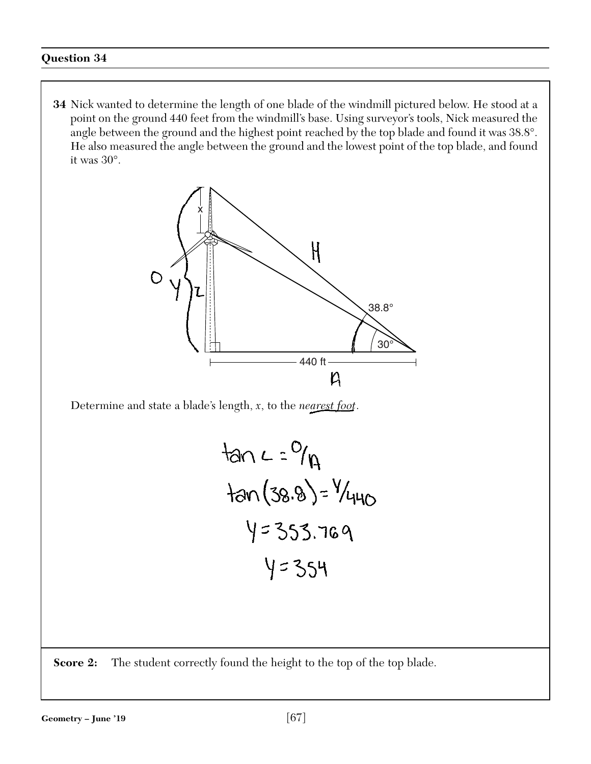**34** Nick wanted to determine the length of one blade of the windmill pictured below. He stood at a point on the ground 440 feet from the windmill's base. Using surveyor's tools, Nick measured the angle between the ground and the highest point reached by the top blade and found it was 38.8°. He also measured the angle between the ground and the lowest point of the top blade, and found it was 30°.

![](_page_66_Figure_2.jpeg)

Determine and state a blade's length, *x*, to the *nearest foot*.

tan 
$$
4 = 9/9
$$
  
\ntan  $(38.8) = 9/440$   
\n $4 = 353.769$   
\n $4 = 354$ 

**Score 2:** The student correctly found the height to the top of the top blade.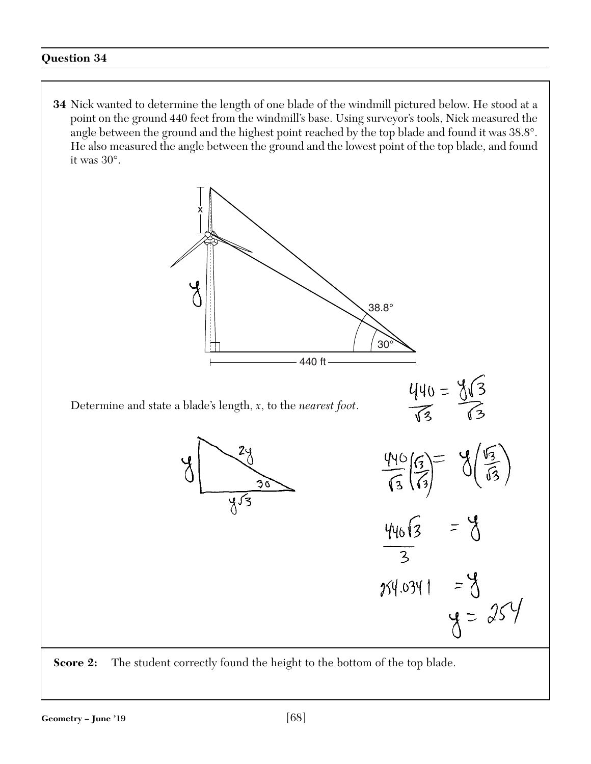**34** Nick wanted to determine the length of one blade of the windmill pictured below. He stood at a point on the ground 440 feet from the windmill's base. Using surveyor's tools, Nick measured the angle between the ground and the highest point reached by the top blade and found it was 38.8°. He also measured the angle between the ground and the lowest point of the top blade, and found it was 30°.

![](_page_67_Figure_2.jpeg)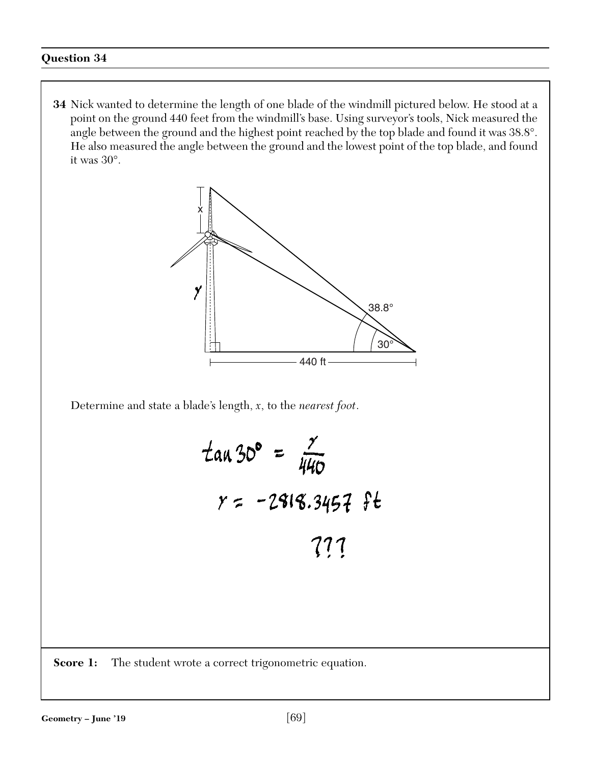**34** Nick wanted to determine the length of one blade of the windmill pictured below. He stood at a point on the ground 440 feet from the windmill's base. Using surveyor's tools, Nick measured the angle between the ground and the highest point reached by the top blade and found it was 38.8°. He also measured the angle between the ground and the lowest point of the top blade, and found it was 30°.

![](_page_68_Figure_2.jpeg)

Determine and state a blade's length, *x*, to the *nearest foot*.

$$
\tan 30^{\circ} = \frac{7}{440}
$$
  

$$
y = -2818.3457 \text{ ft}
$$
  
777

**Score 1:** The student wrote a correct trigonometric equation.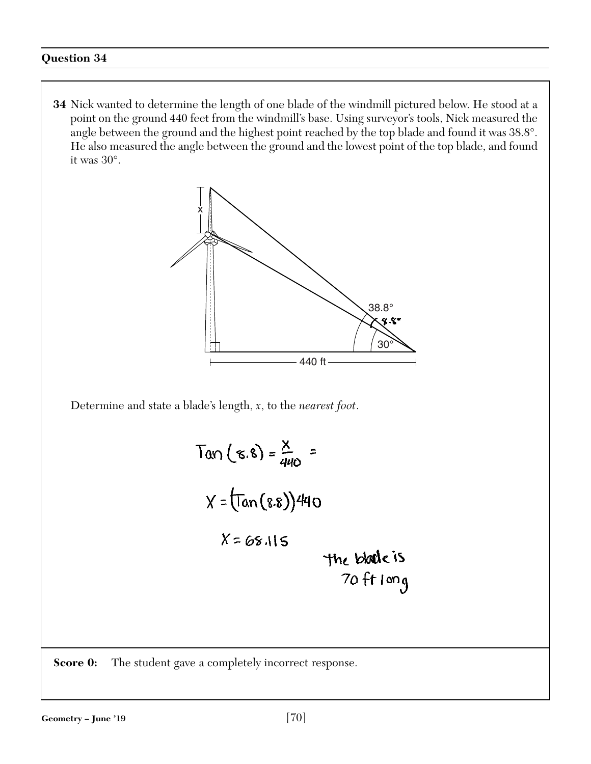**34** Nick wanted to determine the length of one blade of the windmill pictured below. He stood at a point on the ground 440 feet from the windmill's base. Using surveyor's tools, Nick measured the angle between the ground and the highest point reached by the top blade and found it was 38.8°. He also measured the angle between the ground and the lowest point of the top blade, and found it was 30°.

![](_page_69_Figure_2.jpeg)

Determine and state a blade's length, *x*, to the *nearest foot*.

 $Tan(\varepsilon.\varepsilon) = \frac{x}{440}$  =  $X = (Tan(8.8))440$  $X = 68.115$ the block is  $70$  ft long

**Score 0:** The student gave a completely incorrect response.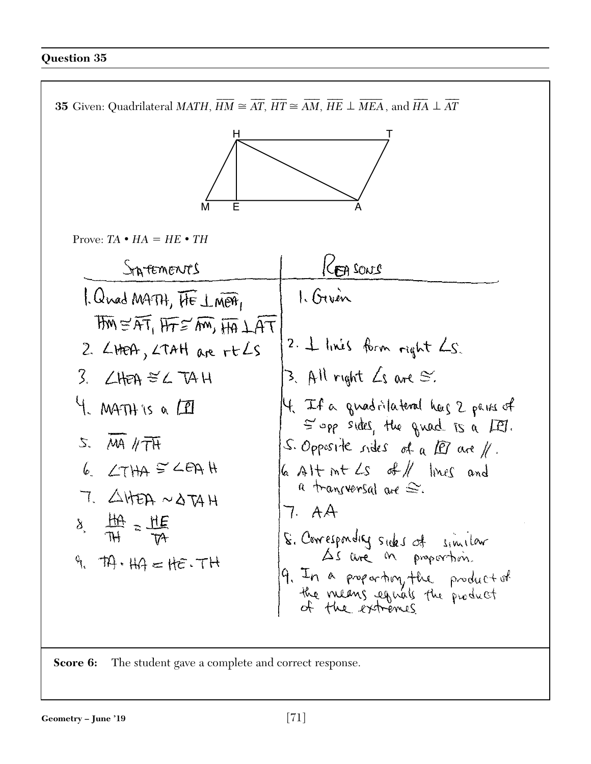![](_page_70_Figure_1.jpeg)

**Score 6:** The student gave a complete and correct response.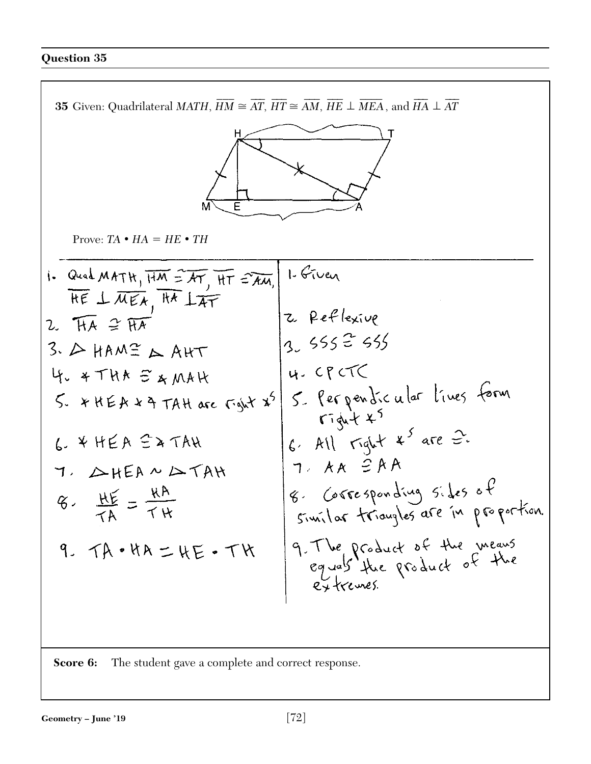![](_page_71_Figure_1.jpeg)

**Score 6:** The student gave a complete and correct response.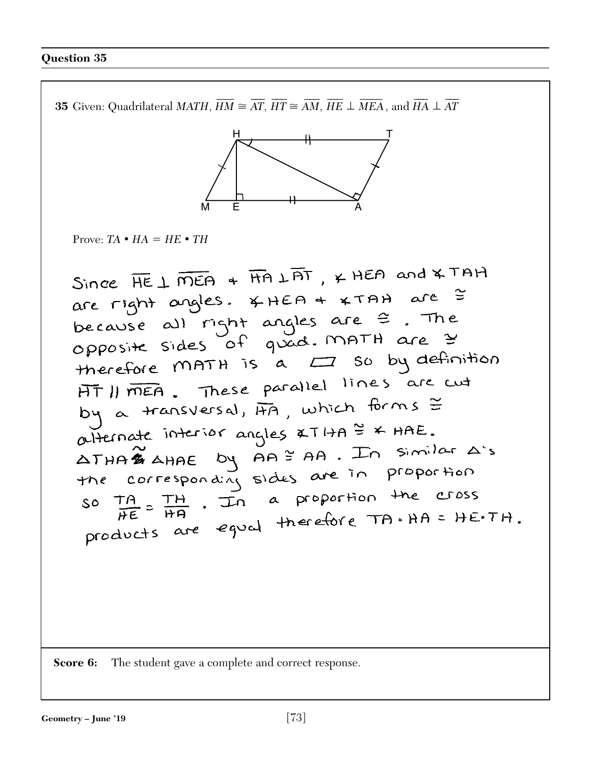$\overline{\phantom{a}}$  $\overline{a}$  $\overline{a}$  $\overline{\phantom{a}}$  $\overline{a}$  $\overline{\phantom{a}}$  $\overline{a}$  $\overline{\phantom{a}}$ **35** Given: Quadrilateral *MATH*, *HM*  $\cong AT$ , *HT*  $\cong AM$ , *HE MEA*  $\perp$  MEA , and HA  $\perp$  , and *HA*  $A \perp AT$  $H$  and  $\mathbf{I}$ M  $E$   $A$ Prove:  $TA \cdot HA = HE \cdot TH$ Since  $\overline{HE} \perp \overline{mEA}$  +  $\overline{H}A \perp \overline{BT}$ ,  $\times$  HEA and  $\times$  TAH are right angles.  $x + \theta + x \tan \theta$  are  $\tilde{z}$ <br>because all right angles are  $\tilde{z}$ . The<br>opposite sides of guad. MATH are  $\tilde{z}$ opposite sides of your<br>therefore MATH is a  $\Box$  so by definition HT II MEA. These parallel lines are cut by a transversal, AA, which forms = alternate interior angles  $xT1+A \overset{\omega}{=} x HAE$ . atternate interior angles  $xTHA \overset{\cong}{=} xHAE$ .<br>  $\triangle THA \overset{\cong}{=} AHAE$  by  $AA \overset{\cong}{=} AA$ . In similar  $\triangle S$ <br>
the corresponding sides are in proportion<br>
so  $\frac{TA}{HE} = \frac{TH}{HA}$ . In a proportion the cross<br>
products are equal therefore TA **Score 6:** The student gave a complete and correct response.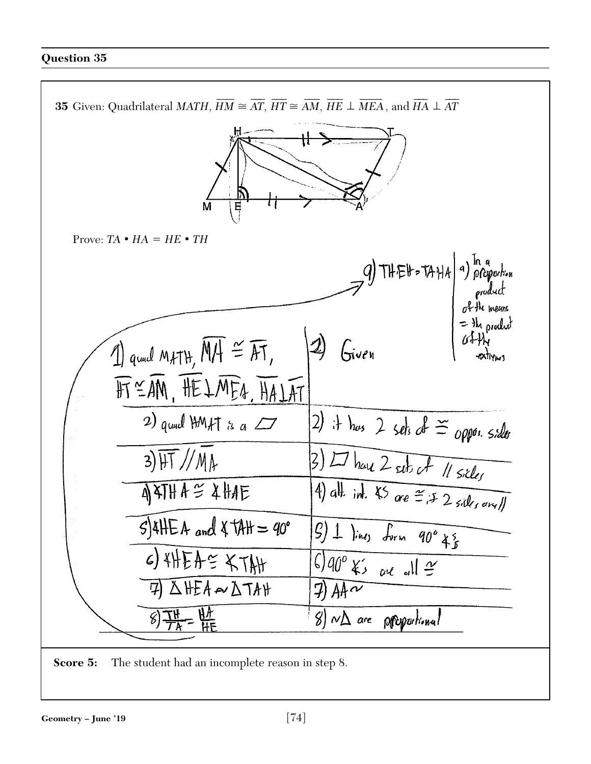

**Score 5:** The student had an incomplete reason in step 8.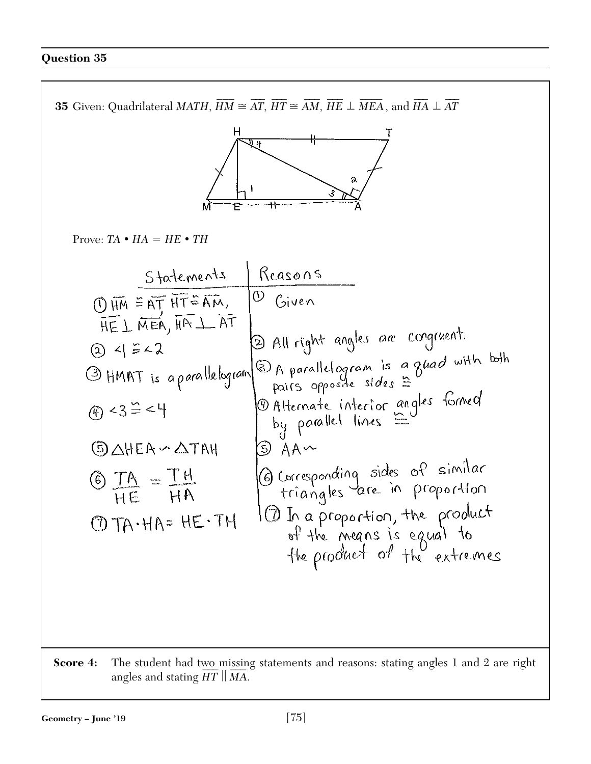

**Score 4:** The student had two missing statements and reasons: stating angles 1 and 2 are right The student had t<u>wo missin</u><br>angles and stating  $\overline{HT} \parallel \overline{MA}$ .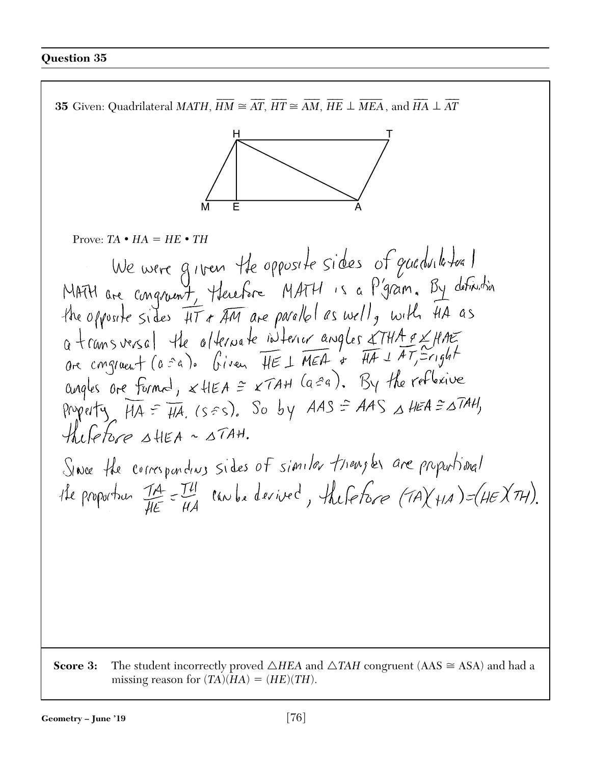$\overline{\phantom{a}}$  $\overline{a}$  $\overline{a}$  $\overline{\phantom{a}}$  $\overline{a}$  $\overline{\phantom{a}}$  $\overline{a}$  $\overline{\phantom{a}}$ **35** Given: Quadrilateral *MATH*, *HM*  $\cong AT$ , *HT*  $\cong AM$ , *HE MEA*  $\perp$  MEA , and HA  $\perp$  , and *HA*  $A \perp AT$ H T M E A Prove:  $TA \cdot HA = HE \cdot TH$ the opposite sides IIT & AM are parallel as well, with HA as a transversal the alternate interner angles & THA a X HAE<br>are congruent (a sa). Given HE 1 MEA + HA 1 AT Scright angles are formed,  $x$  HEA =  $xTAH$  (a=a). By the reflexive Property  $HA = HA$ . (ses). So by  $AAS = AAS \triangle AEA = \triangle TAH$ ,  $Hilchoce AHEA \sim \Delta TAH$ . Since the corresponding sides of similar triengles are proportional He proportion IA = I'll can be devived, the force (TA) +1A) = (HE) TH). **Score 3:** The student incorrectly proved  $\triangle HEA$  and  $\triangle TAH$  congruent (AAS  $\cong$  ASA) and had a missing reason for  $(TA)(HA) = (HE)(TH)$ .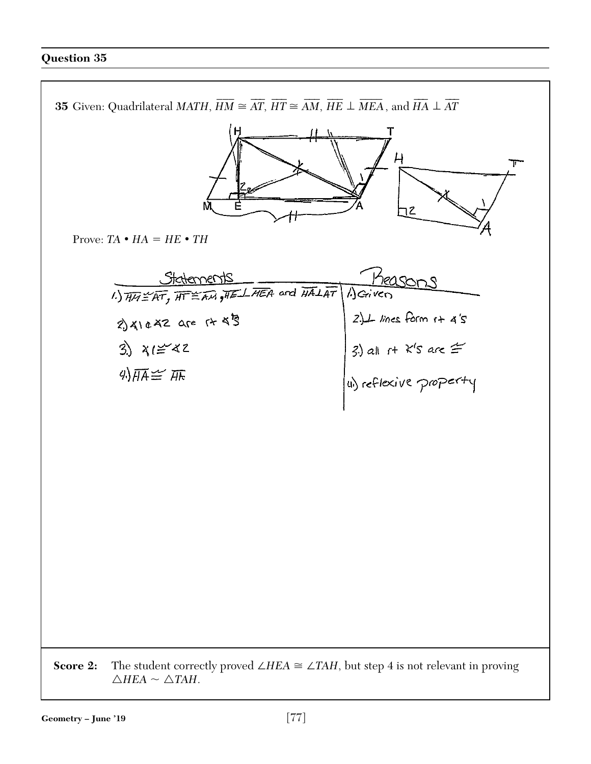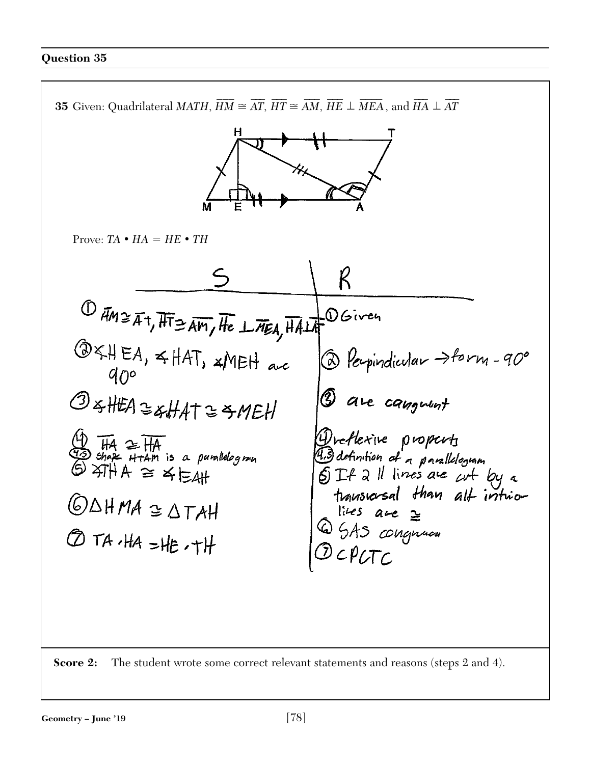

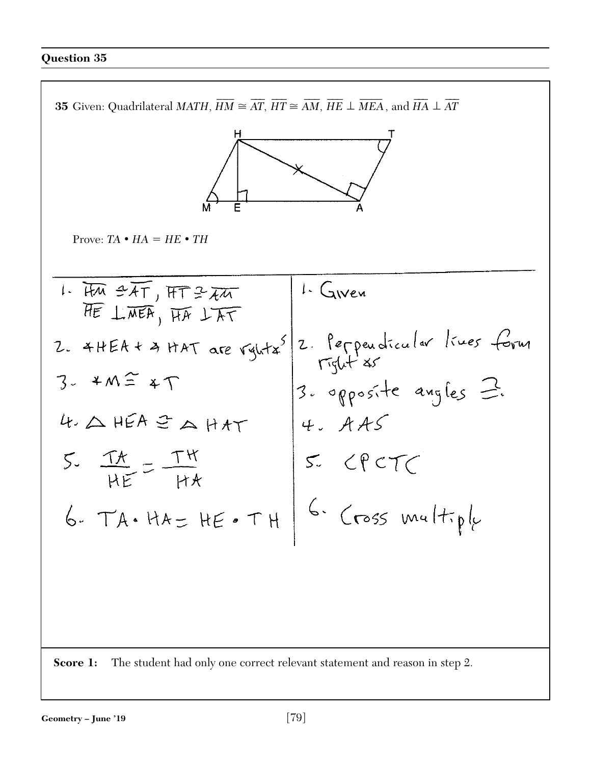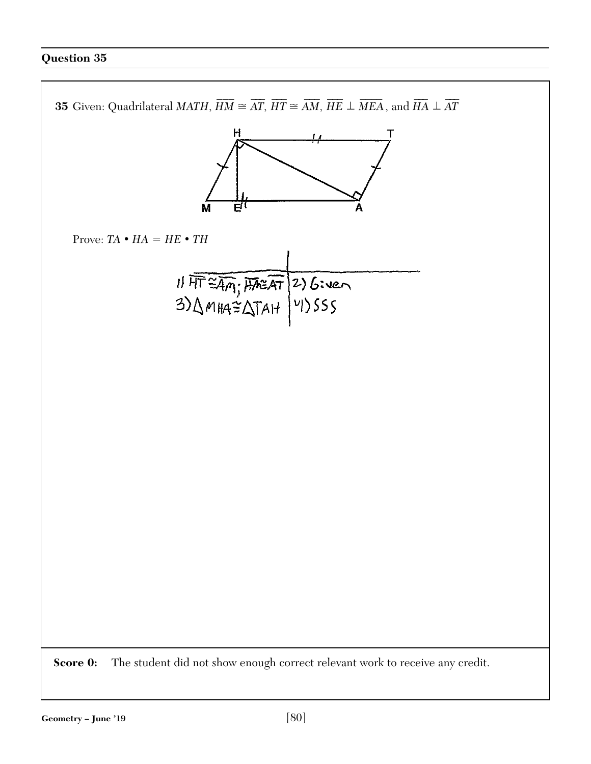